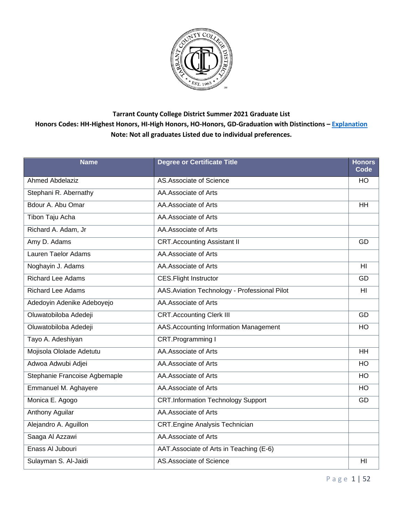

| <b>Name</b>                   | <b>Degree or Certificate Title</b>            | <b>Honors</b><br>Code |
|-------------------------------|-----------------------------------------------|-----------------------|
| <b>Ahmed Abdelaziz</b>        | AS.Associate of Science                       | HO                    |
| Stephani R. Abernathy         | AA.Associate of Arts                          |                       |
| Bdour A. Abu Omar             | AA.Associate of Arts                          | <b>HH</b>             |
| <b>Tibon Taju Acha</b>        | AA.Associate of Arts                          |                       |
| Richard A. Adam, Jr           | AA.Associate of Arts                          |                       |
| Amy D. Adams                  | <b>CRT.Accounting Assistant II</b>            | GD                    |
| Lauren Taelor Adams           | AA.Associate of Arts                          |                       |
| Noghayin J. Adams             | AA.Associate of Arts                          | HI                    |
| <b>Richard Lee Adams</b>      | <b>CES.Flight Instructor</b>                  | GD                    |
| <b>Richard Lee Adams</b>      | AAS. Aviation Technology - Professional Pilot | H <sub>l</sub>        |
| Adedoyin Adenike Adeboyejo    | AA.Associate of Arts                          |                       |
| Oluwatobiloba Adedeji         | <b>CRT.Accounting Clerk III</b>               | GD                    |
| Oluwatobiloba Adedeji         | AAS. Accounting Information Management        | HO                    |
| Tayo A. Adeshiyan             | CRT.Programming I                             |                       |
| Mojisola Ololade Adetutu      | AA.Associate of Arts                          | HH                    |
| Adwoa Adwubi Adjei            | AA.Associate of Arts                          | HO                    |
| Stephanie Francoise Agbemaple | AA.Associate of Arts                          | HO                    |
| Emmanuel M. Aghayere          | AA.Associate of Arts                          | HO                    |
| Monica E. Agogo               | <b>CRT.Information Technology Support</b>     | GD                    |
| Anthony Aguilar               | AA.Associate of Arts                          |                       |
| Alejandro A. Aguillon         | <b>CRT.Engine Analysis Technician</b>         |                       |
| Saaga Al Azzawi               | AA.Associate of Arts                          |                       |
| Enass Al Jubouri              | AAT. Associate of Arts in Teaching (E-6)      |                       |
| Sulayman S. Al-Jaidi          | <b>AS.Associate of Science</b>                | HI                    |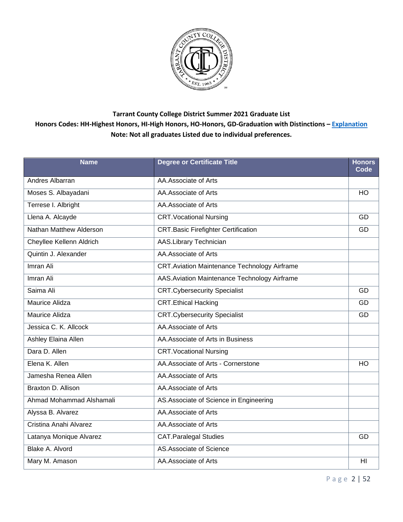

| <b>Name</b>              | <b>Degree or Certificate Title</b>                  | <b>Honors</b><br>Code |
|--------------------------|-----------------------------------------------------|-----------------------|
| <b>Andres Albarran</b>   | AA.Associate of Arts                                |                       |
| Moses S. Albayadani      | AA.Associate of Arts                                | <b>HO</b>             |
| Terrese I. Albright      | AA.Associate of Arts                                |                       |
| Llena A. Alcayde         | <b>CRT. Vocational Nursing</b>                      | GD                    |
| Nathan Matthew Alderson  | <b>CRT.Basic Firefighter Certification</b>          | GD                    |
| Cheyllee Kellenn Aldrich | <b>AAS.Library Technician</b>                       |                       |
| Quintin J. Alexander     | AA.Associate of Arts                                |                       |
| Imran Ali                | <b>CRT.Aviation Maintenance Technology Airframe</b> |                       |
| Imran Ali                | AAS. Aviation Maintenance Technology Airframe       |                       |
| Saima Ali                | <b>CRT.Cybersecurity Specialist</b>                 | GD                    |
| Maurice Alidza           | <b>CRT.Ethical Hacking</b>                          | GD                    |
| Maurice Alidza           | <b>CRT.Cybersecurity Specialist</b>                 | GD                    |
| Jessica C. K. Allcock    | AA.Associate of Arts                                |                       |
| Ashley Elaina Allen      | AA. Associate of Arts in Business                   |                       |
| Dara D. Allen            | <b>CRT. Vocational Nursing</b>                      |                       |
| Elena K. Allen           | AA.Associate of Arts - Cornerstone                  | HO                    |
| Jamesha Renea Allen      | AA.Associate of Arts                                |                       |
| Braxton D. Allison       | AA.Associate of Arts                                |                       |
| Ahmad Mohammad Alshamali | AS. Associate of Science in Engineering             |                       |
| Alyssa B. Alvarez        | AA.Associate of Arts                                |                       |
| Cristina Anahi Alvarez   | AA.Associate of Arts                                |                       |
| Latanya Monique Alvarez  | <b>CAT.Paralegal Studies</b>                        | GD                    |
| Blake A. Alvord          | AS.Associate of Science                             |                       |
| Mary M. Amason           | AA.Associate of Arts                                | HI                    |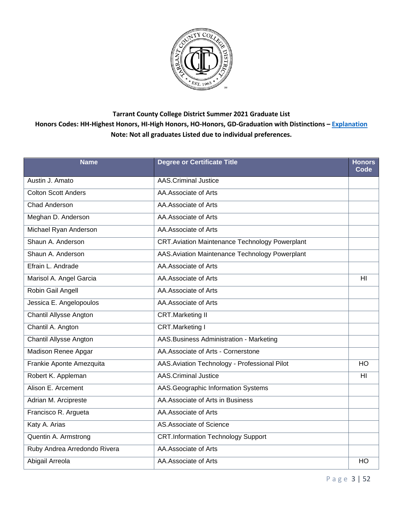

| <b>Name</b>                   | <b>Degree or Certificate Title</b>                    | <b>Honors</b><br>Code |
|-------------------------------|-------------------------------------------------------|-----------------------|
| Austin J. Amato               | <b>AAS.Criminal Justice</b>                           |                       |
| <b>Colton Scott Anders</b>    | AA.Associate of Arts                                  |                       |
| Chad Anderson                 | AA.Associate of Arts                                  |                       |
| Meghan D. Anderson            | AA.Associate of Arts                                  |                       |
| Michael Ryan Anderson         | AA.Associate of Arts                                  |                       |
| Shaun A. Anderson             | <b>CRT.Aviation Maintenance Technology Powerplant</b> |                       |
| Shaun A. Anderson             | AAS. Aviation Maintenance Technology Powerplant       |                       |
| Efrain L. Andrade             | AA.Associate of Arts                                  |                       |
| Marisol A. Angel Garcia       | AA.Associate of Arts                                  | H <sub>l</sub>        |
| Robin Gail Angell             | AA.Associate of Arts                                  |                       |
| Jessica E. Angelopoulos       | AA.Associate of Arts                                  |                       |
| <b>Chantil Allysse Angton</b> | <b>CRT.Marketing II</b>                               |                       |
| Chantil A. Angton             | <b>CRT.Marketing I</b>                                |                       |
| <b>Chantil Allysse Angton</b> | AAS. Business Administration - Marketing              |                       |
| <b>Madison Renee Apgar</b>    | AA.Associate of Arts - Cornerstone                    |                       |
| Frankie Aponte Amezquita      | AAS. Aviation Technology - Professional Pilot         | <b>HO</b>             |
| Robert K. Appleman            | <b>AAS.Criminal Justice</b>                           | HI                    |
| Alison E. Arcement            | AAS.Geographic Information Systems                    |                       |
| Adrian M. Arcipreste          | AA. Associate of Arts in Business                     |                       |
| Francisco R. Argueta          | AA.Associate of Arts                                  |                       |
| Katy A. Arias                 | AS.Associate of Science                               |                       |
| Quentin A. Armstrong          | <b>CRT.Information Technology Support</b>             |                       |
| Ruby Andrea Arredondo Rivera  | AA.Associate of Arts                                  |                       |
| Abigail Arreola               | AA.Associate of Arts                                  | HO                    |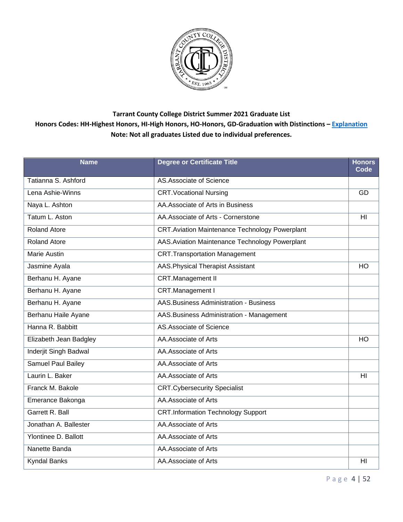

| <b>Name</b>               | <b>Degree or Certificate Title</b>                    | <b>Honors</b><br>Code |
|---------------------------|-------------------------------------------------------|-----------------------|
| Tatianna S. Ashford       | AS.Associate of Science                               |                       |
| Lena Ashie-Winns          | <b>CRT. Vocational Nursing</b>                        | GD                    |
| Naya L. Ashton            | AA. Associate of Arts in Business                     |                       |
| Tatum L. Aston            | AA.Associate of Arts - Cornerstone                    | HI                    |
| <b>Roland Atore</b>       | <b>CRT.Aviation Maintenance Technology Powerplant</b> |                       |
| <b>Roland Atore</b>       | AAS. Aviation Maintenance Technology Powerplant       |                       |
| <b>Marie Austin</b>       | <b>CRT.Transportation Management</b>                  |                       |
| Jasmine Ayala             | AAS. Physical Therapist Assistant                     | HO                    |
| Berhanu H. Ayane          | <b>CRT.Management II</b>                              |                       |
| Berhanu H. Ayane          | CRT.Management I                                      |                       |
| Berhanu H. Ayane          | <b>AAS.Business Administration - Business</b>         |                       |
| Berhanu Haile Ayane       | AAS. Business Administration - Management             |                       |
| Hanna R. Babbitt          | AS.Associate of Science                               |                       |
| Elizabeth Jean Badgley    | AA.Associate of Arts                                  | HO                    |
| Inderjit Singh Badwal     | AA.Associate of Arts                                  |                       |
| <b>Samuel Paul Bailey</b> | AA.Associate of Arts                                  |                       |
| Laurin L. Baker           | AA.Associate of Arts                                  | HI                    |
| Franck M. Bakole          | <b>CRT.Cybersecurity Specialist</b>                   |                       |
| Emerance Bakonga          | AA.Associate of Arts                                  |                       |
| Garrett R. Ball           | <b>CRT.Information Technology Support</b>             |                       |
| Jonathan A. Ballester     | AA.Associate of Arts                                  |                       |
| Ylontinee D. Ballott      | AA.Associate of Arts                                  |                       |
| Nanette Banda             | AA.Associate of Arts                                  |                       |
| <b>Kyndal Banks</b>       | AA.Associate of Arts                                  | HI                    |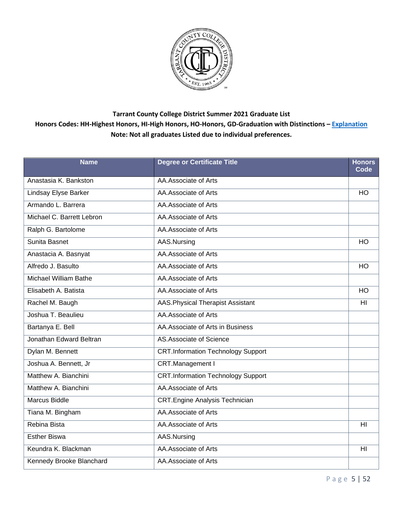

| <b>Name</b>                  | <b>Degree or Certificate Title</b>        | <b>Honors</b><br>Code |
|------------------------------|-------------------------------------------|-----------------------|
| Anastasia K. Bankston        | AA.Associate of Arts                      |                       |
| Lindsay Elyse Barker         | AA.Associate of Arts                      | <b>HO</b>             |
| Armando L. Barrera           | AA.Associate of Arts                      |                       |
| Michael C. Barrett Lebron    | AA.Associate of Arts                      |                       |
| Ralph G. Bartolome           | AA.Associate of Arts                      |                       |
| Sunita Basnet                | AAS.Nursing                               | <b>HO</b>             |
| Anastacia A. Basnyat         | AA.Associate of Arts                      |                       |
| Alfredo J. Basulto           | AA.Associate of Arts                      | <b>HO</b>             |
| <b>Michael William Bathe</b> | AA.Associate of Arts                      |                       |
| Elisabeth A. Batista         | AA.Associate of Arts                      | $\overline{HO}$       |
| Rachel M. Baugh              | <b>AAS. Physical Therapist Assistant</b>  | H <sub>l</sub>        |
| Joshua T. Beaulieu           | AA.Associate of Arts                      |                       |
| Bartanya E. Bell             | AA. Associate of Arts in Business         |                       |
| Jonathan Edward Beltran      | AS.Associate of Science                   |                       |
| Dylan M. Bennett             | <b>CRT.Information Technology Support</b> |                       |
| Joshua A. Bennett, Jr        | CRT.Management I                          |                       |
| Matthew A. Bianchini         | <b>CRT.Information Technology Support</b> |                       |
| Matthew A. Bianchini         | AA.Associate of Arts                      |                       |
| <b>Marcus Biddle</b>         | <b>CRT.Engine Analysis Technician</b>     |                       |
| Tiana M. Bingham             | AA.Associate of Arts                      |                       |
| Rebina Bista                 | AA.Associate of Arts                      | HI                    |
| <b>Esther Biswa</b>          | AAS.Nursing                               |                       |
| Keundra K. Blackman          | AA.Associate of Arts                      | H <sub>l</sub>        |
| Kennedy Brooke Blanchard     | AA.Associate of Arts                      |                       |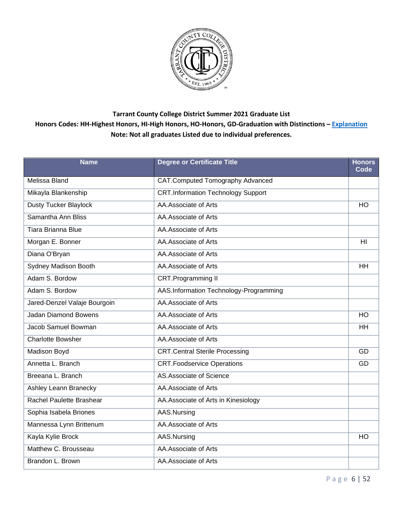

| <b>Name</b>                  | <b>Degree or Certificate Title</b>        | <b>Honors</b><br>Code |
|------------------------------|-------------------------------------------|-----------------------|
| Melissa Bland                | CAT.Computed Tomography Advanced          |                       |
| Mikayla Blankenship          | <b>CRT.Information Technology Support</b> |                       |
| Dusty Tucker Blaylock        | AA.Associate of Arts                      | HO                    |
| Samantha Ann Bliss           | AA.Associate of Arts                      |                       |
| Tiara Brianna Blue           | AA.Associate of Arts                      |                       |
| Morgan E. Bonner             | AA.Associate of Arts                      | HI                    |
| Diana O'Bryan                | AA.Associate of Arts                      |                       |
| Sydney Madison Booth         | AA. Associate of Arts                     | <b>HH</b>             |
| Adam S. Bordow               | CRT.Programming II                        |                       |
| Adam S. Bordow               | AAS.Information Technology-Programming    |                       |
| Jared-Denzel Valaje Bourgoin | AA.Associate of Arts                      |                       |
| Jadan Diamond Bowens         | AA.Associate of Arts                      | <b>HO</b>             |
| Jacob Samuel Bowman          | AA.Associate of Arts                      | <b>HH</b>             |
| <b>Charlotte Bowsher</b>     | AA.Associate of Arts                      |                       |
| Madison Boyd                 | <b>CRT.Central Sterile Processing</b>     | GD                    |
| Annetta L. Branch            | <b>CRT.Foodservice Operations</b>         | GD                    |
| Breeana L. Branch            | AS.Associate of Science                   |                       |
| Ashley Leann Branecky        | AA.Associate of Arts                      |                       |
| Rachel Paulette Brashear     | AA. Associate of Arts in Kinesiology      |                       |
| Sophia Isabela Briones       | AAS.Nursing                               |                       |
| Mannessa Lynn Brittenum      | AA.Associate of Arts                      |                       |
| Kayla Kylie Brock            | AAS.Nursing                               | HO                    |
| Matthew C. Brousseau         | AA.Associate of Arts                      |                       |
| Brandon L. Brown             | AA.Associate of Arts                      |                       |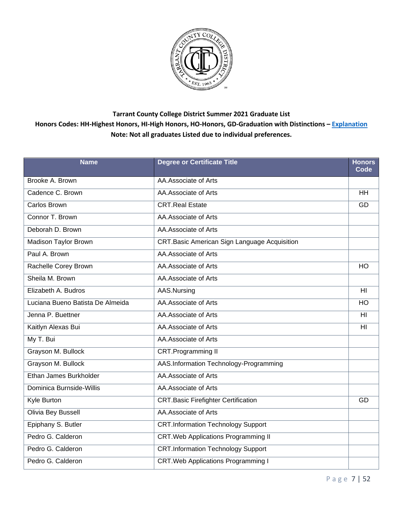

| <b>Name</b>                      | <b>Degree or Certificate Title</b>                  | <b>Honors</b><br>Code |
|----------------------------------|-----------------------------------------------------|-----------------------|
| Brooke A. Brown                  | AA.Associate of Arts                                |                       |
| Cadence C. Brown                 | AA.Associate of Arts                                | <b>HH</b>             |
| Carlos Brown                     | <b>CRT.Real Estate</b>                              | GD                    |
| Connor T. Brown                  | AA.Associate of Arts                                |                       |
| Deborah D. Brown                 | AA.Associate of Arts                                |                       |
| Madison Taylor Brown             | <b>CRT.Basic American Sign Language Acquisition</b> |                       |
| Paul A. Brown                    | AA.Associate of Arts                                |                       |
| Rachelle Corey Brown             | AA.Associate of Arts                                | <b>HO</b>             |
| Sheila M. Brown                  | AA.Associate of Arts                                |                       |
| Elizabeth A. Budros              | AAS.Nursing                                         | $\overline{H}$        |
| Luciana Bueno Batista De Almeida | AA.Associate of Arts                                | <b>HO</b>             |
| Jenna P. Buettner                | AA.Associate of Arts                                | HI                    |
| Kaitlyn Alexas Bui               | AA.Associate of Arts                                | HI                    |
| My T. Bui                        | AA.Associate of Arts                                |                       |
| Grayson M. Bullock               | CRT.Programming II                                  |                       |
| Grayson M. Bullock               | AAS.Information Technology-Programming              |                       |
| Ethan James Burkholder           | AA.Associate of Arts                                |                       |
| Dominica Burnside-Willis         | AA.Associate of Arts                                |                       |
| Kyle Burton                      | <b>CRT.Basic Firefighter Certification</b>          | GD                    |
| Olivia Bey Bussell               | AA.Associate of Arts                                |                       |
| Epiphany S. Butler               | <b>CRT.Information Technology Support</b>           |                       |
| Pedro G. Calderon                | <b>CRT. Web Applications Programming II</b>         |                       |
| Pedro G. Calderon                | <b>CRT.Information Technology Support</b>           |                       |
| Pedro G. Calderon                | <b>CRT. Web Applications Programming I</b>          |                       |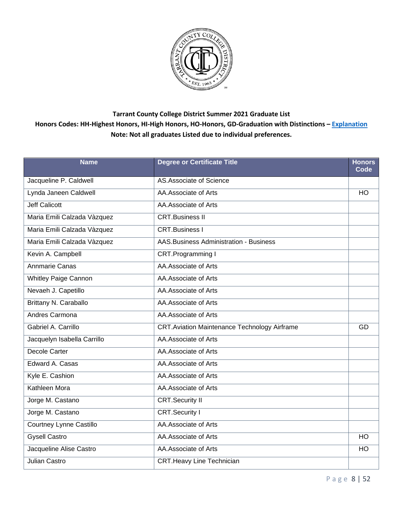

| <b>Name</b>                 | <b>Degree or Certificate Title</b>                  | <b>Honors</b><br>Code |
|-----------------------------|-----------------------------------------------------|-----------------------|
| Jacqueline P. Caldwell      | AS.Associate of Science                             |                       |
| Lynda Janeen Caldwell       | AA.Associate of Arts                                | HO                    |
| <b>Jeff Calicott</b>        | AA.Associate of Arts                                |                       |
| Maria Emili Calzada Vàzquez | <b>CRT.Business II</b>                              |                       |
| Maria Emili Calzada Vàzquez | <b>CRT.Business I</b>                               |                       |
| Maria Emili Calzada Vàzquez | <b>AAS.Business Administration - Business</b>       |                       |
| Kevin A. Campbell           | CRT.Programming I                                   |                       |
| Annmarie Canas              | AA.Associate of Arts                                |                       |
| <b>Whitley Paige Cannon</b> | AA.Associate of Arts                                |                       |
| Nevaeh J. Capetillo         | AA.Associate of Arts                                |                       |
| Brittany N. Caraballo       | AA.Associate of Arts                                |                       |
| Andres Carmona              | AA.Associate of Arts                                |                       |
| Gabriel A. Carrillo         | <b>CRT.Aviation Maintenance Technology Airframe</b> | GD                    |
| Jacquelyn Isabella Carrillo | AA.Associate of Arts                                |                       |
| Decole Carter               | AA.Associate of Arts                                |                       |
| Edward A. Casas             | AA.Associate of Arts                                |                       |
| Kyle E. Cashion             | AA.Associate of Arts                                |                       |
| Kathleen Mora               | AA.Associate of Arts                                |                       |
| Jorge M. Castano            | <b>CRT.Security II</b>                              |                       |
| Jorge M. Castano            | <b>CRT.Security I</b>                               |                       |
| Courtney Lynne Castillo     | AA.Associate of Arts                                |                       |
| <b>Gysell Castro</b>        | AA.Associate of Arts                                | <b>HO</b>             |
| Jacqueline Alise Castro     | AA.Associate of Arts                                | <b>HO</b>             |
| Julian Castro               | <b>CRT.Heavy Line Technician</b>                    |                       |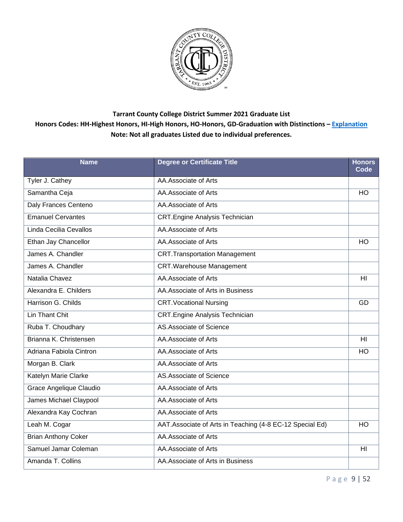

| <b>Name</b>                | <b>Degree or Certificate Title</b>                       | <b>Honors</b><br>Code |
|----------------------------|----------------------------------------------------------|-----------------------|
| <b>Tyler J. Cathey</b>     | AA.Associate of Arts                                     |                       |
| Samantha Ceja              | AA.Associate of Arts                                     | HO                    |
| Daly Frances Centeno       | AA.Associate of Arts                                     |                       |
| <b>Emanuel Cervantes</b>   | <b>CRT.Engine Analysis Technician</b>                    |                       |
| Linda Cecilia Cevallos     | AA.Associate of Arts                                     |                       |
| Ethan Jay Chancellor       | AA.Associate of Arts                                     | <b>HO</b>             |
| James A. Chandler          | <b>CRT.Transportation Management</b>                     |                       |
| James A. Chandler          | <b>CRT.Warehouse Management</b>                          |                       |
| Natalia Chavez             | AA.Associate of Arts                                     | HI                    |
| Alexandra E. Childers      | AA. Associate of Arts in Business                        |                       |
| Harrison G. Childs         | <b>CRT. Vocational Nursing</b>                           | GD                    |
| Lin Thant Chit             | <b>CRT.Engine Analysis Technician</b>                    |                       |
| Ruba T. Choudhary          | AS.Associate of Science                                  |                       |
| Brianna K. Christensen     | AA.Associate of Arts                                     | H <sub>II</sub>       |
| Adriana Fabiola Cintron    | AA.Associate of Arts                                     | HO                    |
| Morgan B. Clark            | AA.Associate of Arts                                     |                       |
| Katelyn Marie Clarke       | AS.Associate of Science                                  |                       |
| Grace Angelique Claudio    | AA.Associate of Arts                                     |                       |
| James Michael Claypool     | AA.Associate of Arts                                     |                       |
| Alexandra Kay Cochran      | AA.Associate of Arts                                     |                       |
| Leah M. Cogar              | AAT.Associate of Arts in Teaching (4-8 EC-12 Special Ed) | HO                    |
| <b>Brian Anthony Coker</b> | AA.Associate of Arts                                     |                       |
| Samuel Jamar Coleman       | AA.Associate of Arts                                     | H <sub>l</sub>        |
| Amanda T. Collins          | AA. Associate of Arts in Business                        |                       |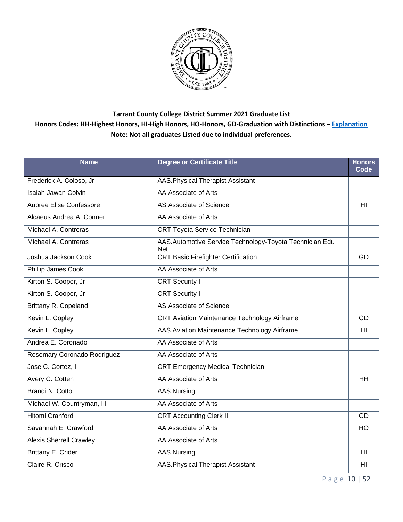

| <b>Name</b>                    | <b>Degree or Certificate Title</b>                                    | <b>Honors</b><br>Code |
|--------------------------------|-----------------------------------------------------------------------|-----------------------|
| Frederick A. Coloso, Jr        | AAS. Physical Therapist Assistant                                     |                       |
| <b>Isaiah Jawan Colvin</b>     | AA.Associate of Arts                                                  |                       |
| Aubree Elise Confessore        | AS.Associate of Science                                               | HI                    |
| Alcaeus Andrea A. Conner       | AA.Associate of Arts                                                  |                       |
| Michael A. Contreras           | <b>CRT.Toyota Service Technician</b>                                  |                       |
| Michael A. Contreras           | AAS.Automotive Service Technology-Toyota Technician Edu<br><b>Net</b> |                       |
| Joshua Jackson Cook            | <b>CRT.Basic Firefighter Certification</b>                            | GD                    |
| Phillip James Cook             | AA.Associate of Arts                                                  |                       |
| Kirton S. Cooper, Jr           | <b>CRT.Security II</b>                                                |                       |
| Kirton S. Cooper, Jr           | <b>CRT.Security I</b>                                                 |                       |
| Brittany R. Copeland           | AS.Associate of Science                                               |                       |
| Kevin L. Copley                | <b>CRT.Aviation Maintenance Technology Airframe</b>                   | GD                    |
| Kevin L. Copley                | AAS. Aviation Maintenance Technology Airframe                         | HI                    |
| Andrea E. Coronado             | AA.Associate of Arts                                                  |                       |
| Rosemary Coronado Rodriguez    | AA.Associate of Arts                                                  |                       |
| Jose C. Cortez, II             | <b>CRT.Emergency Medical Technician</b>                               |                       |
| Avery C. Cotten                | AA.Associate of Arts                                                  | HH                    |
| Brandi N. Cotto                | AAS.Nursing                                                           |                       |
| Michael W. Countryman, III     | AA.Associate of Arts                                                  |                       |
| <b>Hitomi Cranford</b>         | <b>CRT.Accounting Clerk III</b>                                       | GD                    |
| Savannah E. Crawford           | AA.Associate of Arts                                                  | HO                    |
| <b>Alexis Sherrell Crawley</b> | AA.Associate of Arts                                                  |                       |
| Brittany E. Crider             | AAS.Nursing                                                           | HI                    |
| Claire R. Crisco               | <b>AAS. Physical Therapist Assistant</b>                              | HI                    |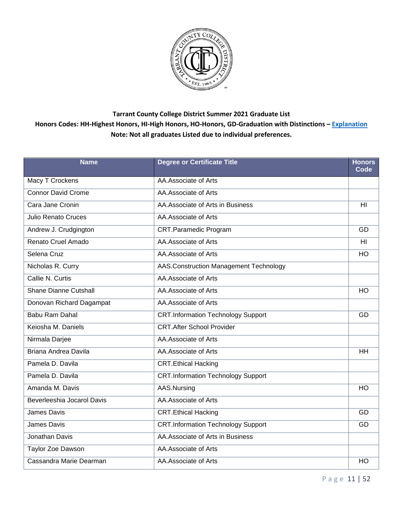

| <b>Name</b>                  | <b>Degree or Certificate Title</b>        | <b>Honors</b><br>Code |
|------------------------------|-------------------------------------------|-----------------------|
| <b>Macy T Crockens</b>       | AA.Associate of Arts                      |                       |
| <b>Connor David Crome</b>    | AA.Associate of Arts                      |                       |
| Cara Jane Cronin             | AA. Associate of Arts in Business         | H <sub>l</sub>        |
| <b>Julio Renato Cruces</b>   | AA.Associate of Arts                      |                       |
| Andrew J. Crudgington        | <b>CRT.Paramedic Program</b>              | GD                    |
| Renato Cruel Amado           | AA.Associate of Arts                      | H <sub>II</sub>       |
| Selena Cruz                  | AA.Associate of Arts                      | HO                    |
| Nicholas R. Curry            | AAS.Construction Management Technology    |                       |
| Callie N. Curtis             | AA.Associate of Arts                      |                       |
| <b>Shane Dianne Cutshall</b> | AA.Associate of Arts                      | HO                    |
| Donovan Richard Dagampat     | AA.Associate of Arts                      |                       |
| <b>Babu Ram Dahal</b>        | <b>CRT.Information Technology Support</b> | GD                    |
| Keiosha M. Daniels           | <b>CRT.After School Provider</b>          |                       |
| Nirmala Darjee               | AA.Associate of Arts                      |                       |
| Briana Andrea Davila         | AA.Associate of Arts                      | <b>HH</b>             |
| Pamela D. Davila             | <b>CRT.Ethical Hacking</b>                |                       |
| Pamela D. Davila             | <b>CRT.Information Technology Support</b> |                       |
| Amanda M. Davis              | AAS.Nursing                               | HO                    |
| Beverleeshia Jocarol Davis   | AA.Associate of Arts                      |                       |
| <b>James Davis</b>           | <b>CRT.Ethical Hacking</b>                | GD                    |
| <b>James Davis</b>           | <b>CRT.Information Technology Support</b> | GD                    |
| Jonathan Davis               | AA. Associate of Arts in Business         |                       |
| Taylor Zoe Dawson            | AA.Associate of Arts                      |                       |
| Cassandra Marie Dearman      | AA.Associate of Arts                      | HO                    |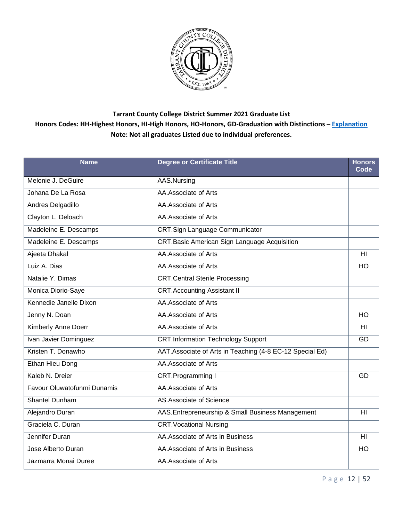

| <b>Name</b>                 | <b>Degree or Certificate Title</b>                       | <b>Honors</b><br>Code |
|-----------------------------|----------------------------------------------------------|-----------------------|
| Melonie J. DeGuire          | AAS.Nursing                                              |                       |
| Johana De La Rosa           | AA.Associate of Arts                                     |                       |
| Andres Delgadillo           | AA.Associate of Arts                                     |                       |
| Clayton L. Deloach          | AA.Associate of Arts                                     |                       |
| Madeleine E. Descamps       | <b>CRT.Sign Language Communicator</b>                    |                       |
| Madeleine E. Descamps       | CRT.Basic American Sign Language Acquisition             |                       |
| Ajeeta Dhakal               | AA.Associate of Arts                                     | HI                    |
| Luiz A. Dias                | AA.Associate of Arts                                     | HO                    |
| Natalie Y. Dimas            | <b>CRT.Central Sterile Processing</b>                    |                       |
| Monica Diorio-Saye          | <b>CRT.Accounting Assistant II</b>                       |                       |
| Kennedie Janelle Dixon      | AA.Associate of Arts                                     |                       |
| Jenny N. Doan               | AA.Associate of Arts                                     | <b>HO</b>             |
| Kimberly Anne Doerr         | AA.Associate of Arts                                     | HI                    |
| Ivan Javier Dominguez       | <b>CRT.Information Technology Support</b>                | GD                    |
| Kristen T. Donawho          | AAT.Associate of Arts in Teaching (4-8 EC-12 Special Ed) |                       |
| <b>Ethan Hieu Dong</b>      | AA.Associate of Arts                                     |                       |
| Kaleb N. Dreier             | CRT.Programming I                                        | GD                    |
| Favour Oluwatofunmi Dunamis | AA.Associate of Arts                                     |                       |
| Shantel Dunham              | AS.Associate of Science                                  |                       |
| Alejandro Duran             | AAS.Entrepreneurship & Small Business Management         | HI                    |
| Graciela C. Duran           | <b>CRT. Vocational Nursing</b>                           |                       |
| Jennifer Duran              | AA. Associate of Arts in Business                        | HI                    |
| Jose Alberto Duran          | AA. Associate of Arts in Business                        | <b>HO</b>             |
| Jazmarra Monai Duree        | AA.Associate of Arts                                     |                       |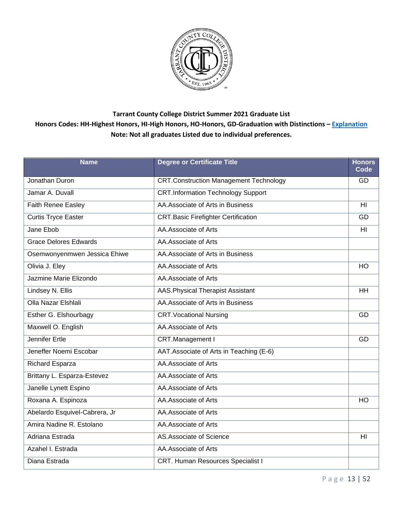

| <b>Name</b>                   | <b>Degree or Certificate Title</b>            | <b>Honors</b><br>Code |
|-------------------------------|-----------------------------------------------|-----------------------|
| Jonathan Duron                | <b>CRT.Construction Management Technology</b> | GD.                   |
| Jamar A. Duvall               | <b>CRT.Information Technology Support</b>     |                       |
| Faith Renee Easley            | AA.Associate of Arts in Business              | HI                    |
| Curtis Tryce Easter           | <b>CRT.Basic Firefighter Certification</b>    | GD                    |
| Jane Ebob                     | AA.Associate of Arts                          | H <sub>II</sub>       |
| <b>Grace Delores Edwards</b>  | AA.Associate of Arts                          |                       |
| Osemwonyenmwen Jessica Ehiwe  | AA. Associate of Arts in Business             |                       |
| Olivia J. Eley                | AA.Associate of Arts                          | <b>HO</b>             |
| Jazmine Marie Elizondo        | AA.Associate of Arts                          |                       |
| Lindsey N. Ellis              | <b>AAS. Physical Therapist Assistant</b>      | <b>HH</b>             |
| Olla Nazar Elshlali           | AA. Associate of Arts in Business             |                       |
| Esther G. Elshourbagy         | <b>CRT. Vocational Nursing</b>                | GD                    |
| Maxwell O. English            | AA.Associate of Arts                          |                       |
| <b>Jennifer Ertle</b>         | CRT.Management I                              | GD                    |
| Jeneffer Noemi Escobar        | AAT. Associate of Arts in Teaching (E-6)      |                       |
| Richard Esparza               | AA.Associate of Arts                          |                       |
| Brittany L. Esparza-Estevez   | AA.Associate of Arts                          |                       |
| Janelle Lynett Espino         | AA.Associate of Arts                          |                       |
| Roxana A. Espinoza            | AA.Associate of Arts                          | <b>HO</b>             |
| Abelardo Esquivel-Cabrera, Jr | AA.Associate of Arts                          |                       |
| Amira Nadine R. Estolano      | AA.Associate of Arts                          |                       |
| Adriana Estrada               | AS.Associate of Science                       | H <sub>l</sub>        |
| Azahel I. Estrada             | AA.Associate of Arts                          |                       |
| Diana Estrada                 | CRT. Human Resources Specialist I             |                       |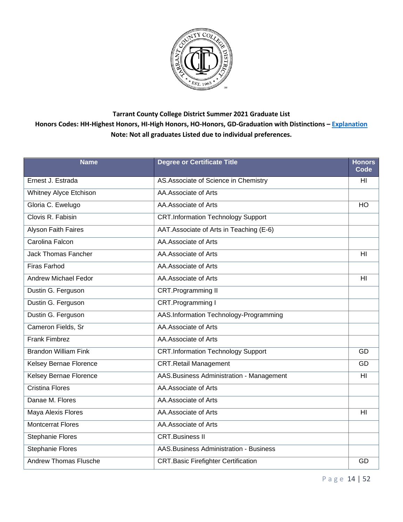

| <b>Name</b>                   | <b>Degree or Certificate Title</b>            | <b>Honors</b><br>Code |
|-------------------------------|-----------------------------------------------|-----------------------|
| Ernest J. Estrada             | AS. Associate of Science in Chemistry         | HI                    |
| Whitney Alyce Etchison        | AA.Associate of Arts                          |                       |
| Gloria C. Ewelugo             | AA.Associate of Arts                          | HO                    |
| Clovis R. Fabisin             | <b>CRT.Information Technology Support</b>     |                       |
| <b>Alyson Faith Faires</b>    | AAT.Associate of Arts in Teaching (E-6)       |                       |
| Carolina Falcon               | AA.Associate of Arts                          |                       |
| <b>Jack Thomas Fancher</b>    | AA.Associate of Arts                          | HI                    |
| <b>Firas Farhod</b>           | AA.Associate of Arts                          |                       |
| <b>Andrew Michael Fedor</b>   | AA.Associate of Arts                          | H <sub>l</sub>        |
| Dustin G. Ferguson            | CRT.Programming II                            |                       |
| Dustin G. Ferguson            | CRT.Programming I                             |                       |
| Dustin G. Ferguson            | AAS.Information Technology-Programming        |                       |
| Cameron Fields, Sr            | AA.Associate of Arts                          |                       |
| <b>Frank Fimbrez</b>          | AA.Associate of Arts                          |                       |
| <b>Brandon William Fink</b>   | <b>CRT.Information Technology Support</b>     | GD                    |
| <b>Kelsey Bernae Florence</b> | <b>CRT.Retail Management</b>                  | GD                    |
| Kelsey Bernae Florence        | AAS. Business Administration - Management     | HI                    |
| <b>Cristina Flores</b>        | AA.Associate of Arts                          |                       |
| Danae M. Flores               | AA.Associate of Arts                          |                       |
| Maya Alexis Flores            | AA.Associate of Arts                          | HI                    |
| <b>Montcerrat Flores</b>      | AA.Associate of Arts                          |                       |
| <b>Stephanie Flores</b>       | <b>CRT.Business II</b>                        |                       |
| <b>Stephanie Flores</b>       | <b>AAS.Business Administration - Business</b> |                       |
| <b>Andrew Thomas Flusche</b>  | <b>CRT.Basic Firefighter Certification</b>    | GD                    |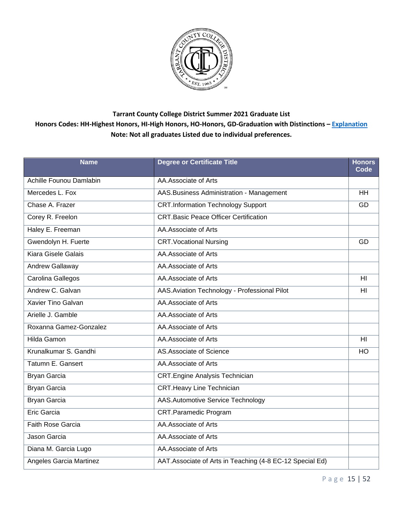

| <b>Name</b>                | <b>Degree or Certificate Title</b>                        | <b>Honors</b><br>Code |
|----------------------------|-----------------------------------------------------------|-----------------------|
| Achille Founou Damlabin    | AA.Associate of Arts                                      |                       |
| Mercedes L. Fox            | AAS. Business Administration - Management                 | <b>HH</b>             |
| Chase A. Frazer            | <b>CRT.Information Technology Support</b>                 | GD                    |
| Corey R. Freelon           | <b>CRT.Basic Peace Officer Certification</b>              |                       |
| Haley E. Freeman           | AA.Associate of Arts                                      |                       |
| Gwendolyn H. Fuerte        | <b>CRT. Vocational Nursing</b>                            | GD                    |
| <b>Kiara Gisele Galais</b> | AA.Associate of Arts                                      |                       |
| Andrew Gallaway            | AA.Associate of Arts                                      |                       |
| Carolina Gallegos          | AA.Associate of Arts                                      | H <sub>l</sub>        |
| Andrew C. Galvan           | AAS. Aviation Technology - Professional Pilot             | H <sub>l</sub>        |
| Xavier Tino Galvan         | AA.Associate of Arts                                      |                       |
| Arielle J. Gamble          | AA.Associate of Arts                                      |                       |
| Roxanna Gamez-Gonzalez     | AA.Associate of Arts                                      |                       |
| <b>Hilda Gamon</b>         | AA.Associate of Arts                                      | H <sub>l</sub>        |
| Krunalkumar S. Gandhi      | AS.Associate of Science                                   | HO                    |
| Tatumn E. Gansert          | AA.Associate of Arts                                      |                       |
| <b>Bryan Garcia</b>        | <b>CRT.Engine Analysis Technician</b>                     |                       |
| <b>Bryan Garcia</b>        | <b>CRT.Heavy Line Technician</b>                          |                       |
| <b>Bryan Garcia</b>        | <b>AAS.Automotive Service Technology</b>                  |                       |
| <b>Eric Garcia</b>         | <b>CRT.Paramedic Program</b>                              |                       |
| <b>Faith Rose Garcia</b>   | AA.Associate of Arts                                      |                       |
| Jason Garcia               | AA.Associate of Arts                                      |                       |
| Diana M. Garcia Lugo       | AA.Associate of Arts                                      |                       |
| Angeles Garcia Martinez    | AAT. Associate of Arts in Teaching (4-8 EC-12 Special Ed) |                       |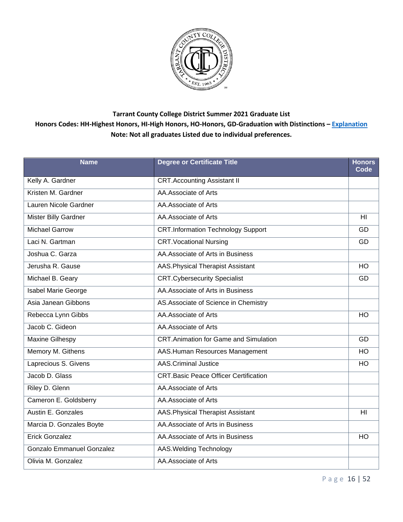

| <b>Name</b>                      | <b>Degree or Certificate Title</b>           | <b>Honors</b><br>Code |
|----------------------------------|----------------------------------------------|-----------------------|
| Kelly A. Gardner                 | <b>CRT.Accounting Assistant II</b>           |                       |
| Kristen M. Gardner               | AA.Associate of Arts                         |                       |
| Lauren Nicole Gardner            | AA.Associate of Arts                         |                       |
| Mister Billy Gardner             | AA.Associate of Arts                         | H <sub>II</sub>       |
| <b>Michael Garrow</b>            | <b>CRT.Information Technology Support</b>    | GD                    |
| Laci N. Gartman                  | <b>CRT. Vocational Nursing</b>               | GD                    |
| Joshua C. Garza                  | AA. Associate of Arts in Business            |                       |
| Jerusha R. Gause                 | AAS. Physical Therapist Assistant            | HO                    |
| Michael B. Geary                 | <b>CRT.Cybersecurity Specialist</b>          | GD                    |
| Isabel Marie George              | AA. Associate of Arts in Business            |                       |
| Asia Janean Gibbons              | AS.Associate of Science in Chemistry         |                       |
| Rebecca Lynn Gibbs               | AA.Associate of Arts                         | HO                    |
| Jacob C. Gideon                  | AA.Associate of Arts                         |                       |
| <b>Maxine Gilhespy</b>           | <b>CRT.Animation for Game and Simulation</b> | GD                    |
| Memory M. Githens                | AAS.Human Resources Management               | HO                    |
| Laprecious S. Givens             | <b>AAS.Criminal Justice</b>                  | HO                    |
| Jacob D. Glass                   | <b>CRT.Basic Peace Officer Certification</b> |                       |
| Riley D. Glenn                   | AA.Associate of Arts                         |                       |
| Cameron E. Goldsberry            | AA.Associate of Arts                         |                       |
| Austin E. Gonzales               | AAS. Physical Therapist Assistant            | H <sub>l</sub>        |
| Marcia D. Gonzales Boyte         | AA. Associate of Arts in Business            |                       |
| <b>Erick Gonzalez</b>            | AA.Associate of Arts in Business             | $\overline{HO}$       |
| <b>Gonzalo Emmanuel Gonzalez</b> | AAS. Welding Technology                      |                       |
| Olivia M. Gonzalez               | AA.Associate of Arts                         |                       |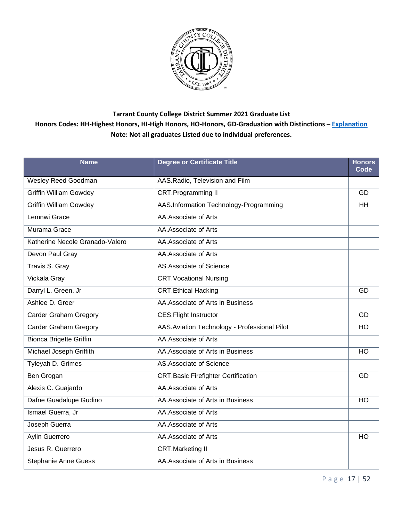

| <b>Name</b>                     | <b>Degree or Certificate Title</b>            | <b>Honors</b><br>Code |
|---------------------------------|-----------------------------------------------|-----------------------|
| <b>Wesley Reed Goodman</b>      | AAS.Radio, Television and Film                |                       |
| <b>Griffin William Gowdey</b>   | <b>CRT.Programming II</b>                     | GD                    |
| <b>Griffin William Gowdey</b>   | AAS.Information Technology-Programming        | <b>HH</b>             |
| Lemnwi Grace                    | AA.Associate of Arts                          |                       |
| Murama Grace                    | AA.Associate of Arts                          |                       |
| Katherine Necole Granado-Valero | AA.Associate of Arts                          |                       |
| Devon Paul Gray                 | AA.Associate of Arts                          |                       |
| Travis S. Gray                  | AS.Associate of Science                       |                       |
| Vickala Gray                    | <b>CRT. Vocational Nursing</b>                |                       |
| Darryl L. Green, Jr             | <b>CRT.Ethical Hacking</b>                    | GD                    |
| Ashlee D. Greer                 | AA. Associate of Arts in Business             |                       |
| <b>Carder Graham Gregory</b>    | <b>CES.Flight Instructor</b>                  | GD                    |
| <b>Carder Graham Gregory</b>    | AAS. Aviation Technology - Professional Pilot | H <sub>O</sub>        |
| <b>Bionca Brigette Griffin</b>  | AA.Associate of Arts                          |                       |
| Michael Joseph Griffith         | AA. Associate of Arts in Business             | <b>HO</b>             |
| Tyleyah D. Grimes               | AS.Associate of Science                       |                       |
| Ben Grogan                      | <b>CRT.Basic Firefighter Certification</b>    | GD                    |
| Alexis C. Guajardo              | AA.Associate of Arts                          |                       |
| Dafne Guadalupe Gudino          | AA. Associate of Arts in Business             | <b>HO</b>             |
| Ismael Guerra, Jr               | AA.Associate of Arts                          |                       |
| Joseph Guerra                   | AA.Associate of Arts                          |                       |
| <b>Aylin Guerrero</b>           | AA.Associate of Arts                          | HO                    |
| Jesus R. Guerrero               | <b>CRT.Marketing II</b>                       |                       |
| <b>Stephanie Anne Guess</b>     | AA.Associate of Arts in Business              |                       |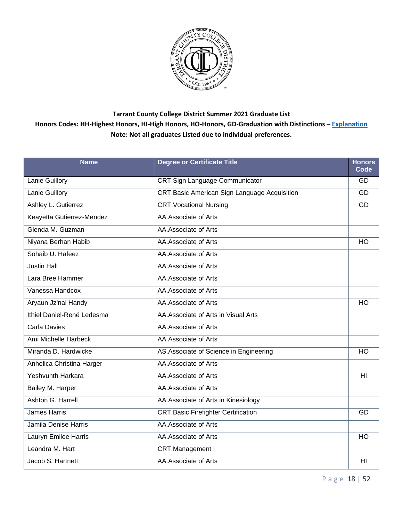

| <b>Name</b>                | <b>Degree or Certificate Title</b>                  | <b>Honors</b><br>Code |
|----------------------------|-----------------------------------------------------|-----------------------|
| <b>Lanie Guillory</b>      | <b>CRT.Sign Language Communicator</b>               | GD.                   |
| Lanie Guillory             | <b>CRT.Basic American Sign Language Acquisition</b> | GD                    |
| Ashley L. Gutierrez        | <b>CRT. Vocational Nursing</b>                      | GD                    |
| Keayetta Gutierrez-Mendez  | AA.Associate of Arts                                |                       |
| Glenda M. Guzman           | AA.Associate of Arts                                |                       |
| Niyana Berhan Habib        | AA.Associate of Arts                                | <b>HO</b>             |
| Sohaib U. Hafeez           | AA.Associate of Arts                                |                       |
| <b>Justin Hall</b>         | AA.Associate of Arts                                |                       |
| Lara Bree Hammer           | AA.Associate of Arts                                |                       |
| Vanessa Handcox            | AA.Associate of Arts                                |                       |
| Aryaun Jz'nai Handy        | AA.Associate of Arts                                | <b>HO</b>             |
| Ithiel Daniel-René Ledesma | AA. Associate of Arts in Visual Arts                |                       |
| <b>Carla Davies</b>        | AA.Associate of Arts                                |                       |
| Ami Michelle Harbeck       | AA.Associate of Arts                                |                       |
| Miranda D. Hardwicke       | AS. Associate of Science in Engineering             | HO                    |
| Anhelica Christina Harger  | AA.Associate of Arts                                |                       |
| Yeshvunth Harkara          | AA.Associate of Arts                                | H <sub>II</sub>       |
| Bailey M. Harper           | AA.Associate of Arts                                |                       |
| Ashton G. Harrell          | AA.Associate of Arts in Kinesiology                 |                       |
| <b>James Harris</b>        | <b>CRT.Basic Firefighter Certification</b>          | GD                    |
| Jamila Denise Harris       | AA.Associate of Arts                                |                       |
| Lauryn Emilee Harris       | AA.Associate of Arts                                | $\overline{HO}$       |
| Leandra M. Hart            | CRT.Management I                                    |                       |
| Jacob S. Hartnett          | AA.Associate of Arts                                | HI                    |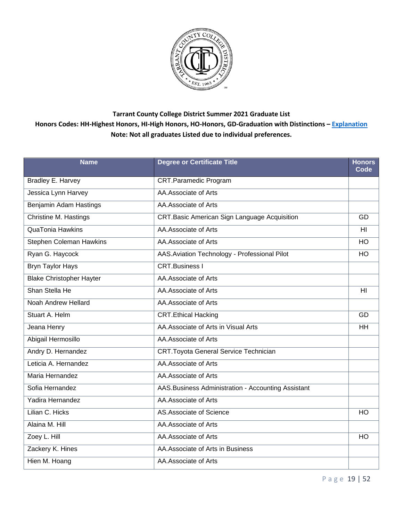

| <b>Name</b>                     | <b>Degree or Certificate Title</b>                  | <b>Honors</b><br>Code |
|---------------------------------|-----------------------------------------------------|-----------------------|
| <b>Bradley E. Harvey</b>        | <b>CRT.Paramedic Program</b>                        |                       |
| Jessica Lynn Harvey             | AA.Associate of Arts                                |                       |
| Benjamin Adam Hastings          | AA.Associate of Arts                                |                       |
| Christine M. Hastings           | <b>CRT.Basic American Sign Language Acquisition</b> | GD                    |
| <b>QuaTonia Hawkins</b>         | AA.Associate of Arts                                | H <sub>l</sub>        |
| Stephen Coleman Hawkins         | AA.Associate of Arts                                | HO                    |
| Ryan G. Haycock                 | AAS. Aviation Technology - Professional Pilot       | H <sub>O</sub>        |
| <b>Bryn Taylor Hays</b>         | <b>CRT.Business I</b>                               |                       |
| <b>Blake Christopher Hayter</b> | AA.Associate of Arts                                |                       |
| Shan Stella He                  | AA.Associate of Arts                                | H <sub>l</sub>        |
| Noah Andrew Hellard             | AA.Associate of Arts                                |                       |
| Stuart A. Helm                  | <b>CRT.Ethical Hacking</b>                          | GD                    |
| Jeana Henry                     | AA. Associate of Arts in Visual Arts                | <b>HH</b>             |
| Abigail Hermosillo              | AA.Associate of Arts                                |                       |
| Andry D. Hernandez              | <b>CRT. Toyota General Service Technician</b>       |                       |
| Leticia A. Hernandez            | AA.Associate of Arts                                |                       |
| Maria Hernandez                 | AA.Associate of Arts                                |                       |
| Sofia Hernandez                 | AAS. Business Administration - Accounting Assistant |                       |
| Yadira Hernandez                | AA.Associate of Arts                                |                       |
| Lilian C. Hicks                 | AS.Associate of Science                             | HO                    |
| Alaina M. Hill                  | AA.Associate of Arts                                |                       |
| Zoey L. Hill                    | AA.Associate of Arts                                | HO                    |
| Zackery K. Hines                | AA.Associate of Arts in Business                    |                       |
| Hien M. Hoang                   | AA.Associate of Arts                                |                       |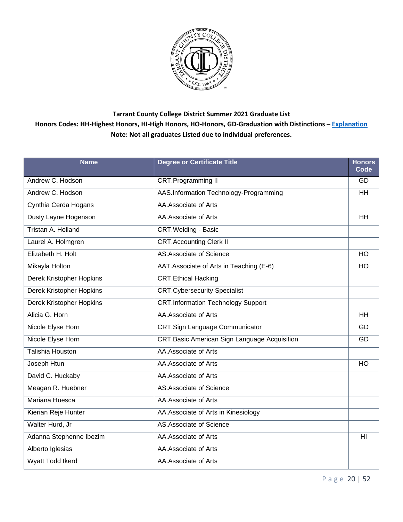

| <b>Name</b>                     | <b>Degree or Certificate Title</b>           | <b>Honors</b><br>Code |
|---------------------------------|----------------------------------------------|-----------------------|
| Andrew C. Hodson                | <b>CRT.Programming II</b>                    | GD                    |
| Andrew C. Hodson                | AAS.Information Technology-Programming       | <b>HH</b>             |
| Cynthia Cerda Hogans            | AA.Associate of Arts                         |                       |
| Dusty Layne Hogenson            | AA.Associate of Arts                         | <b>HH</b>             |
| Tristan A. Holland              | <b>CRT.Welding - Basic</b>                   |                       |
| Laurel A. Holmgren              | <b>CRT.Accounting Clerk II</b>               |                       |
| Elizabeth H. Holt               | AS.Associate of Science                      | HO                    |
| Mikayla Holton                  | AAT. Associate of Arts in Teaching (E-6)     | HO                    |
| Derek Kristopher Hopkins        | <b>CRT.Ethical Hacking</b>                   |                       |
| <b>Derek Kristopher Hopkins</b> | <b>CRT.Cybersecurity Specialist</b>          |                       |
| <b>Derek Kristopher Hopkins</b> | <b>CRT.Information Technology Support</b>    |                       |
| Alicia G. Horn                  | AA.Associate of Arts                         | <b>HH</b>             |
| Nicole Elyse Horn               | <b>CRT.Sign Language Communicator</b>        | GD                    |
| Nicole Elyse Horn               | CRT.Basic American Sign Language Acquisition | GD                    |
| Talishia Houston                | AA.Associate of Arts                         |                       |
| Joseph Htun                     | AA.Associate of Arts                         | <b>HO</b>             |
| David C. Huckaby                | AA.Associate of Arts                         |                       |
| Meagan R. Huebner               | AS.Associate of Science                      |                       |
| Mariana Huesca                  | AA.Associate of Arts                         |                       |
| Kierian Reje Hunter             | AA. Associate of Arts in Kinesiology         |                       |
| Walter Hurd, Jr                 | AS.Associate of Science                      |                       |
| Adanna Stephenne Ibezim         | AA.Associate of Arts                         | H <sub>l</sub>        |
| Alberto Iglesias                | AA.Associate of Arts                         |                       |
| Wyatt Todd Ikerd                | AA.Associate of Arts                         |                       |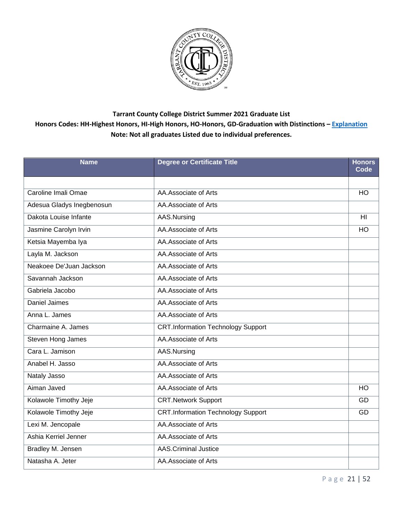

| <b>Name</b>               | <b>Degree or Certificate Title</b>        | <b>Honors</b><br>Code |
|---------------------------|-------------------------------------------|-----------------------|
|                           |                                           |                       |
| Caroline Imali Omae       | AA.Associate of Arts                      | H <sub>O</sub>        |
| Adesua Gladys Inegbenosun | AA.Associate of Arts                      |                       |
| Dakota Louise Infante     | AAS.Nursing                               | HI                    |
| Jasmine Carolyn Irvin     | AA.Associate of Arts                      | HO                    |
| Ketsia Mayemba Iya        | AA.Associate of Arts                      |                       |
| Layla M. Jackson          | AA.Associate of Arts                      |                       |
| Neakoee De'Juan Jackson   | AA.Associate of Arts                      |                       |
| Savannah Jackson          | AA.Associate of Arts                      |                       |
| Gabriela Jacobo           | AA.Associate of Arts                      |                       |
| <b>Daniel Jaimes</b>      | AA.Associate of Arts                      |                       |
| Anna L. James             | AA.Associate of Arts                      |                       |
| Charmaine A. James        | <b>CRT.Information Technology Support</b> |                       |
| Steven Hong James         | AA.Associate of Arts                      |                       |
| Cara L. Jamison           | AAS.Nursing                               |                       |
| Anabel H. Jasso           | AA.Associate of Arts                      |                       |
| Nataly Jasso              | AA.Associate of Arts                      |                       |
| Aiman Javed               | AA.Associate of Arts                      | HO                    |
| Kolawole Timothy Jeje     | <b>CRT.Network Support</b>                | GD                    |
| Kolawole Timothy Jeje     | <b>CRT.Information Technology Support</b> | GD                    |
| Lexi M. Jencopale         | AA.Associate of Arts                      |                       |
| Ashia Kerriel Jenner      | AA.Associate of Arts                      |                       |
| Bradley M. Jensen         | <b>AAS.Criminal Justice</b>               |                       |
| Natasha A. Jeter          | AA.Associate of Arts                      |                       |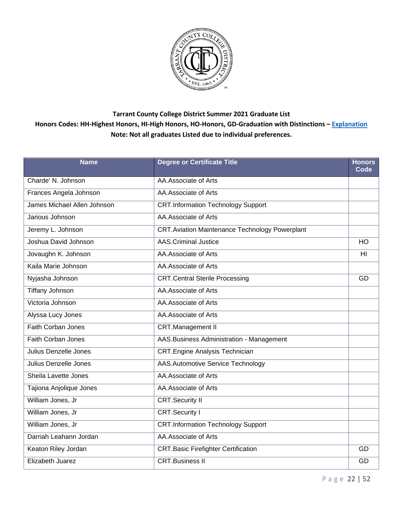

| <b>Name</b>                 | <b>Degree or Certificate Title</b>                    | <b>Honors</b><br>Code |
|-----------------------------|-------------------------------------------------------|-----------------------|
| Charde' N. Johnson          | AA.Associate of Arts                                  |                       |
| Frances Angela Johnson      | AA.Associate of Arts                                  |                       |
| James Michael Allen Johnson | <b>CRT.Information Technology Support</b>             |                       |
| Jarious Johnson             | AA.Associate of Arts                                  |                       |
| Jeremy L. Johnson           | <b>CRT.Aviation Maintenance Technology Powerplant</b> |                       |
| Joshua David Johnson        | <b>AAS.Criminal Justice</b>                           | <b>HO</b>             |
| Jovaughn K. Johnson         | AA.Associate of Arts                                  | HI                    |
| Kaila Marie Johnson         | AA.Associate of Arts                                  |                       |
| Nyjasha Johnson             | <b>CRT.Central Sterile Processing</b>                 | GD                    |
| <b>Tiffany Johnson</b>      | AA.Associate of Arts                                  |                       |
| Victoria Johnson            | AA.Associate of Arts                                  |                       |
| Alyssa Lucy Jones           | AA.Associate of Arts                                  |                       |
| <b>Faith Corban Jones</b>   | <b>CRT.Management II</b>                              |                       |
| Faith Corban Jones          | AAS. Business Administration - Management             |                       |
| Julius Denzelle Jones       | <b>CRT.Engine Analysis Technician</b>                 |                       |
| Julius Denzelle Jones       | AAS.Automotive Service Technology                     |                       |
| Sheila Lavette Jones        | AA.Associate of Arts                                  |                       |
| Tajiona Anjolique Jones     | AA.Associate of Arts                                  |                       |
| William Jones, Jr           | <b>CRT.Security II</b>                                |                       |
| William Jones, Jr           | <b>CRT.Security I</b>                                 |                       |
| William Jones, Jr           | <b>CRT.Information Technology Support</b>             |                       |
| Darriah Leahann Jordan      | AA.Associate of Arts                                  |                       |
| Keaton Riley Jordan         | <b>CRT.Basic Firefighter Certification</b>            | GD                    |
| <b>Elizabeth Juarez</b>     | <b>CRT.Business II</b>                                | GD                    |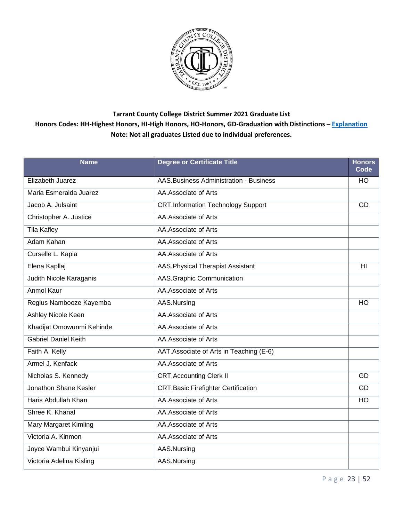

| <b>Name</b>                 | <b>Degree or Certificate Title</b>            | <b>Honors</b><br>Code |
|-----------------------------|-----------------------------------------------|-----------------------|
| Elizabeth Juarez            | <b>AAS.Business Administration - Business</b> | <b>HO</b>             |
| Maria Esmeralda Juarez      | AA.Associate of Arts                          |                       |
| Jacob A. Julsaint           | <b>CRT.Information Technology Support</b>     | GD                    |
| Christopher A. Justice      | AA.Associate of Arts                          |                       |
| <b>Tila Kafley</b>          | AA.Associate of Arts                          |                       |
| Adam Kahan                  | AA. Associate of Arts                         |                       |
| Curselle L. Kapia           | AA.Associate of Arts                          |                       |
| Elena Kapllaj               | AAS. Physical Therapist Assistant             | H <sub>l</sub>        |
| Judith Nicole Karaganis     | AAS.Graphic Communication                     |                       |
| <b>Anmol Kaur</b>           | AA.Associate of Arts                          |                       |
| Regius Nambooze Kayemba     | AAS.Nursing                                   | HO                    |
| Ashley Nicole Keen          | AA.Associate of Arts                          |                       |
| Khadijat Omowunmi Kehinde   | AA.Associate of Arts                          |                       |
| <b>Gabriel Daniel Keith</b> | AA.Associate of Arts                          |                       |
| Faith A. Kelly              | AAT. Associate of Arts in Teaching (E-6)      |                       |
| Armel J. Kenfack            | AA.Associate of Arts                          |                       |
| Nicholas S. Kennedy         | <b>CRT.Accounting Clerk II</b>                | GD                    |
| Jonathon Shane Kesler       | <b>CRT.Basic Firefighter Certification</b>    | GD                    |
| Haris Abdullah Khan         | AA.Associate of Arts                          | <b>HO</b>             |
| Shree K. Khanal             | AA.Associate of Arts                          |                       |
| Mary Margaret Kimling       | AA.Associate of Arts                          |                       |
| Victoria A. Kinmon          | AA.Associate of Arts                          |                       |
| Joyce Wambui Kinyanjui      | AAS.Nursing                                   |                       |
| Victoria Adelina Kisling    | AAS.Nursing                                   |                       |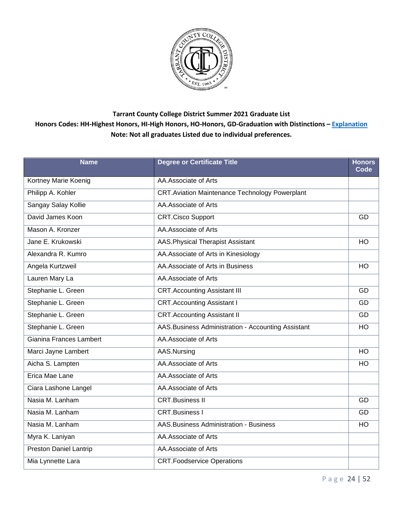

| <b>Name</b>                   | <b>Degree or Certificate Title</b>                    | <b>Honors</b><br>Code |
|-------------------------------|-------------------------------------------------------|-----------------------|
| Kortney Marie Koenig          | AA.Associate of Arts                                  |                       |
| Philipp A. Kohler             | <b>CRT.Aviation Maintenance Technology Powerplant</b> |                       |
| Sangay Salay Kollie           | AA.Associate of Arts                                  |                       |
| David James Koon              | <b>CRT.Cisco Support</b>                              | GD                    |
| Mason A. Kronzer              | AA.Associate of Arts                                  |                       |
| Jane E. Krukowski             | AAS. Physical Therapist Assistant                     | <b>HO</b>             |
| Alexandra R. Kumro            | AA. Associate of Arts in Kinesiology                  |                       |
| Angela Kurtzweil              | AA. Associate of Arts in Business                     | HO                    |
| Lauren Mary La                | AA.Associate of Arts                                  |                       |
| Stephanie L. Green            | <b>CRT.Accounting Assistant III</b>                   | GD                    |
| Stephanie L. Green            | <b>CRT.Accounting Assistant I</b>                     | GD                    |
| Stephanie L. Green            | <b>CRT.Accounting Assistant II</b>                    | GD                    |
| Stephanie L. Green            | AAS.Business Administration - Accounting Assistant    | HO                    |
| Gianina Frances Lambert       | AA.Associate of Arts                                  |                       |
| Marci Jayne Lambert           | AAS.Nursing                                           | HO                    |
| Aicha S. Lampten              | AA.Associate of Arts                                  | HO                    |
| Erica Mae Lane                | AA.Associate of Arts                                  |                       |
| Ciara Lashone Langel          | AA.Associate of Arts                                  |                       |
| Nasia M. Lanham               | <b>CRT.Business II</b>                                | GD                    |
| Nasia M. Lanham               | <b>CRT.Business I</b>                                 | GD                    |
| Nasia M. Lanham               | <b>AAS.Business Administration - Business</b>         | <b>HO</b>             |
| Myra K. Laniyan               | AA.Associate of Arts                                  |                       |
| <b>Preston Daniel Lantrip</b> | AA.Associate of Arts                                  |                       |
| Mia Lynnette Lara             | <b>CRT.Foodservice Operations</b>                     |                       |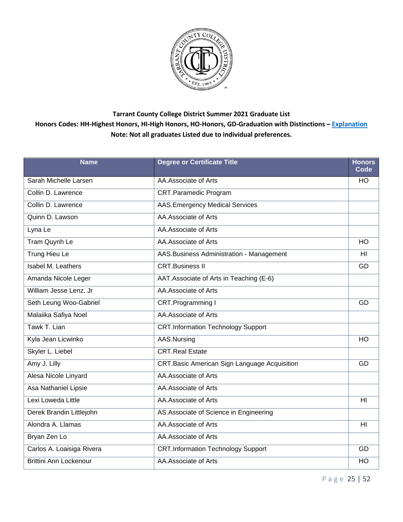

| <b>Name</b>                   | <b>Degree or Certificate Title</b>           | <b>Honors</b><br>Code |
|-------------------------------|----------------------------------------------|-----------------------|
| Sarah Michelle Larsen         | AA.Associate of Arts                         | H <sub>O</sub>        |
| Collin D. Lawrence            | <b>CRT.Paramedic Program</b>                 |                       |
| Collin D. Lawrence            | <b>AAS.Emergency Medical Services</b>        |                       |
| Quinn D. Lawson               | AA.Associate of Arts                         |                       |
| Lyna Le                       | AA.Associate of Arts                         |                       |
| Tram Quynh Le                 | AA.Associate of Arts                         | HO                    |
| <b>Trung Hieu Le</b>          | AAS. Business Administration - Management    | HI                    |
| Isabel M. Leathers            | <b>CRT.Business II</b>                       | GD                    |
| Amanda Nicole Leger           | AAT.Associate of Arts in Teaching (E-6)      |                       |
| William Jesse Lenz, Jr        | AA.Associate of Arts                         |                       |
| Seth Leung Woo-Gabriel        | CRT.Programming I                            | GD                    |
| Malaiika Safiya Noel          | AA.Associate of Arts                         |                       |
| Tawk T. Lian                  | <b>CRT.Information Technology Support</b>    |                       |
| Kyla Jean Licwinko            | AAS.Nursing                                  | HO                    |
| Skyler L. Liebel              | <b>CRT.Real Estate</b>                       |                       |
| Amy J. Lilly                  | CRT.Basic American Sign Language Acquisition | GD                    |
| Alesa Nicole Linyard          | AA.Associate of Arts                         |                       |
| Asa Nathaniel Lipsie          | AA.Associate of Arts                         |                       |
| Lexi Loweda Little            | AA.Associate of Arts                         | HI                    |
| Derek Brandin Littlejohn      | AS. Associate of Science in Engineering      |                       |
| Alondra A. Llamas             | AA.Associate of Arts                         | HI                    |
| Bryan Zen Lo                  | AA.Associate of Arts                         |                       |
| Carlos A. Loaisiga Rivera     | <b>CRT.Information Technology Support</b>    | GD                    |
| <b>Brittini Ann Lockenour</b> | AA.Associate of Arts                         | HO                    |

P a g e 25 | 52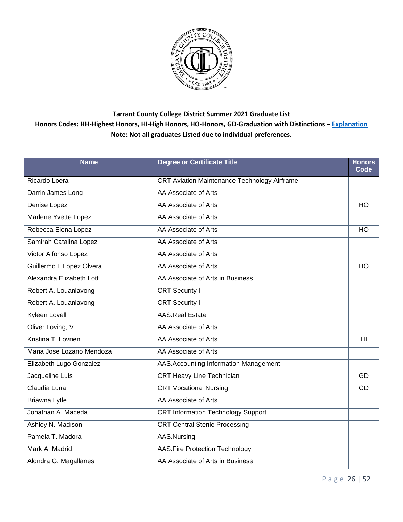

| <b>Name</b>               | <b>Degree or Certificate Title</b>                  | <b>Honors</b><br>Code |
|---------------------------|-----------------------------------------------------|-----------------------|
| Ricardo Loera             | <b>CRT.Aviation Maintenance Technology Airframe</b> |                       |
| Darrin James Long         | AA.Associate of Arts                                |                       |
| Denise Lopez              | AA.Associate of Arts                                | HO                    |
| Marlene Yvette Lopez      | AA.Associate of Arts                                |                       |
| Rebecca Elena Lopez       | AA.Associate of Arts                                | <b>HO</b>             |
| Samirah Catalina Lopez    | AA. Associate of Arts                               |                       |
| Victor Alfonso Lopez      | AA.Associate of Arts                                |                       |
| Guillermo I. Lopez Olvera | AA.Associate of Arts                                | HO                    |
| Alexandra Elizabeth Lott  | AA. Associate of Arts in Business                   |                       |
| Robert A. Louanlavong     | <b>CRT.Security II</b>                              |                       |
| Robert A. Louanlavong     | <b>CRT.Security I</b>                               |                       |
| Kyleen Lovell             | <b>AAS.Real Estate</b>                              |                       |
| Oliver Loving, V          | AA.Associate of Arts                                |                       |
| Kristina T. Lovrien       | AA.Associate of Arts                                | HI                    |
| Maria Jose Lozano Mendoza | AA.Associate of Arts                                |                       |
| Elizabeth Lugo Gonzalez   | AAS. Accounting Information Management              |                       |
| Jacqueline Luis           | <b>CRT.Heavy Line Technician</b>                    | GD                    |
| Claudia Luna              | <b>CRT. Vocational Nursing</b>                      | GD                    |
| Briawna Lytle             | AA.Associate of Arts                                |                       |
| Jonathan A. Maceda        | <b>CRT.Information Technology Support</b>           |                       |
| Ashley N. Madison         | <b>CRT.Central Sterile Processing</b>               |                       |
| Pamela T. Madora          | AAS.Nursing                                         |                       |
| Mark A. Madrid            | <b>AAS.Fire Protection Technology</b>               |                       |
| Alondra G. Magallanes     | AA. Associate of Arts in Business                   |                       |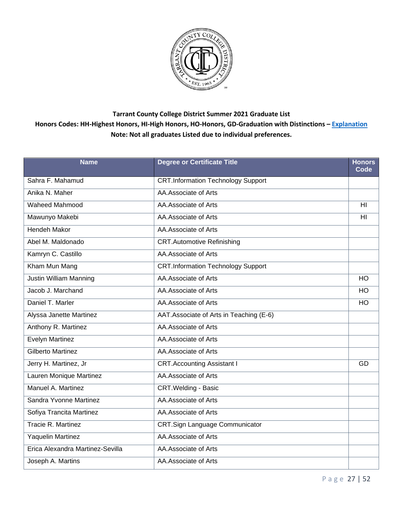

| <b>Name</b>                      | <b>Degree or Certificate Title</b>        | <b>Honors</b><br>Code |
|----------------------------------|-------------------------------------------|-----------------------|
| Sahra F. Mahamud                 | <b>CRT.Information Technology Support</b> |                       |
| Anika N. Maher                   | AA.Associate of Arts                      |                       |
| Waheed Mahmood                   | AA.Associate of Arts                      | H <sub>l</sub>        |
| Mawunyo Makebi                   | AA.Associate of Arts                      | H <sub>l</sub>        |
| <b>Hendeh Makor</b>              | AA.Associate of Arts                      |                       |
| Abel M. Maldonado                | <b>CRT.Automotive Refinishing</b>         |                       |
| Kamryn C. Castillo               | AA.Associate of Arts                      |                       |
| Kham Mun Mang                    | <b>CRT.Information Technology Support</b> |                       |
| <b>Justin William Manning</b>    | AA.Associate of Arts                      | HO                    |
| Jacob J. Marchand                | AA.Associate of Arts                      | <b>HO</b>             |
| Daniel T. Marler                 | AA.Associate of Arts                      | <b>HO</b>             |
| Alyssa Janette Martinez          | AAT.Associate of Arts in Teaching (E-6)   |                       |
| Anthony R. Martinez              | AA.Associate of Arts                      |                       |
| Evelyn Martinez                  | AA.Associate of Arts                      |                       |
| Gilberto Martinez                | AA.Associate of Arts                      |                       |
| Jerry H. Martinez, Jr            | <b>CRT.Accounting Assistant I</b>         | GD                    |
| Lauren Monique Martinez          | AA.Associate of Arts                      |                       |
| Manuel A. Martinez               | <b>CRT. Welding - Basic</b>               |                       |
| Sandra Yvonne Martinez           | AA.Associate of Arts                      |                       |
| Sofiya Trancita Martinez         | AA.Associate of Arts                      |                       |
| Tracie R. Martinez               | CRT.Sign Language Communicator            |                       |
| Yaquelin Martinez                | AA.Associate of Arts                      |                       |
| Erica Alexandra Martinez-Sevilla | AA.Associate of Arts                      |                       |
| Joseph A. Martins                | AA.Associate of Arts                      |                       |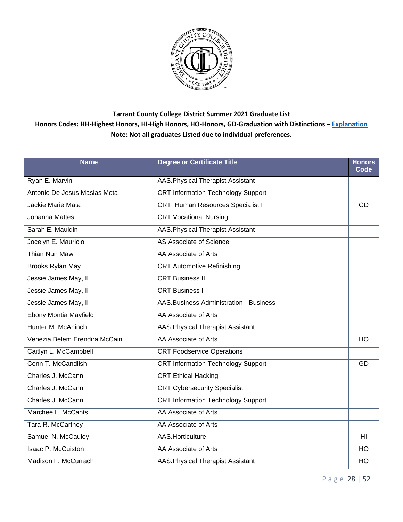

| <b>Name</b>                   | <b>Degree or Certificate Title</b>        | <b>Honors</b><br>Code |
|-------------------------------|-------------------------------------------|-----------------------|
| Ryan E. Marvin                | AAS. Physical Therapist Assistant         |                       |
| Antonio De Jesus Masias Mota  | <b>CRT.Information Technology Support</b> |                       |
| Jackie Marie Mata             | CRT. Human Resources Specialist I         | GD                    |
| <b>Johanna Mattes</b>         | <b>CRT. Vocational Nursing</b>            |                       |
| Sarah E. Mauldin              | AAS. Physical Therapist Assistant         |                       |
| Jocelyn E. Mauricio           | AS Associate of Science                   |                       |
| <b>Thian Nun Mawi</b>         | AA.Associate of Arts                      |                       |
| Brooks Rylan May              | <b>CRT.Automotive Refinishing</b>         |                       |
| Jessie James May, II          | <b>CRT.Business II</b>                    |                       |
| Jessie James May, II          | <b>CRT.Business I</b>                     |                       |
| Jessie James May, II          | AAS. Business Administration - Business   |                       |
| Ebony Montia Mayfield         | AA.Associate of Arts                      |                       |
| Hunter M. McAninch            | AAS. Physical Therapist Assistant         |                       |
| Venezia Belem Erendira McCain | AA.Associate of Arts                      | HO                    |
| Caitlyn L. McCampbell         | <b>CRT.Foodservice Operations</b>         |                       |
| Conn T. McCandlish            | <b>CRT.Information Technology Support</b> | GD                    |
| Charles J. McCann             | <b>CRT.Ethical Hacking</b>                |                       |
| Charles J. McCann             | <b>CRT.Cybersecurity Specialist</b>       |                       |
| Charles J. McCann             | <b>CRT.Information Technology Support</b> |                       |
| Marcheé L. McCants            | AA.Associate of Arts                      |                       |
| Tara R. McCartney             | AA.Associate of Arts                      |                       |
| Samuel N. McCauley            | AAS.Horticulture                          | HI                    |
| <b>Isaac P. McCuiston</b>     | AA.Associate of Arts                      | <b>HO</b>             |
| Madison F. McCurrach          | <b>AAS. Physical Therapist Assistant</b>  | HO                    |

P a g e 28 | 52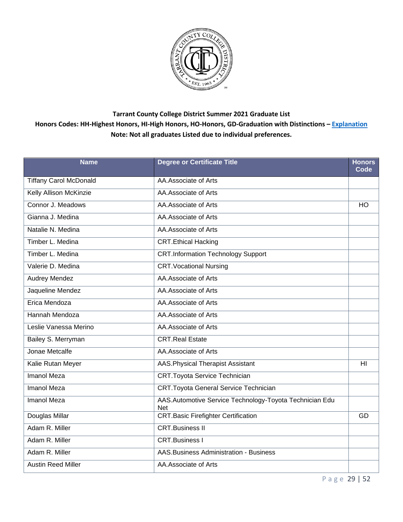

| <b>Name</b>                   | <b>Degree or Certificate Title</b>                             | <b>Honors</b><br>Code |
|-------------------------------|----------------------------------------------------------------|-----------------------|
| <b>Tiffany Carol McDonald</b> | AA.Associate of Arts                                           |                       |
| Kelly Allison McKinzie        | AA.Associate of Arts                                           |                       |
| Connor J. Meadows             | AA.Associate of Arts                                           | <b>HO</b>             |
| Gianna J. Medina              | AA.Associate of Arts                                           |                       |
| Natalie N. Medina             | AA.Associate of Arts                                           |                       |
| Timber L. Medina              | <b>CRT.Ethical Hacking</b>                                     |                       |
| Timber L. Medina              | <b>CRT.Information Technology Support</b>                      |                       |
| Valerie D. Medina             | <b>CRT. Vocational Nursing</b>                                 |                       |
| <b>Audrey Mendez</b>          | AA.Associate of Arts                                           |                       |
| Jaqueline Mendez              | AA.Associate of Arts                                           |                       |
| Erica Mendoza                 | AA.Associate of Arts                                           |                       |
| Hannah Mendoza                | AA.Associate of Arts                                           |                       |
| Leslie Vanessa Merino         | AA.Associate of Arts                                           |                       |
| Bailey S. Merryman            | <b>CRT.Real Estate</b>                                         |                       |
| Jonae Metcalfe                | AA.Associate of Arts                                           |                       |
| Kalie Rutan Meyer             | AAS. Physical Therapist Assistant                              | HI                    |
| <b>Imanol Meza</b>            | <b>CRT.Toyota Service Technician</b>                           |                       |
| <b>Imanol Meza</b>            | <b>CRT. Toyota General Service Technician</b>                  |                       |
| <b>Imanol Meza</b>            | AAS.Automotive Service Technology-Toyota Technician Edu<br>Net |                       |
| Douglas Millar                | <b>CRT.Basic Firefighter Certification</b>                     | <b>GD</b>             |
| Adam R. Miller                | <b>CRT.Business II</b>                                         |                       |
| Adam R. Miller                | CRT.Business I                                                 |                       |
| Adam R. Miller                | AAS. Business Administration - Business                        |                       |
| <b>Austin Reed Miller</b>     | AA.Associate of Arts                                           |                       |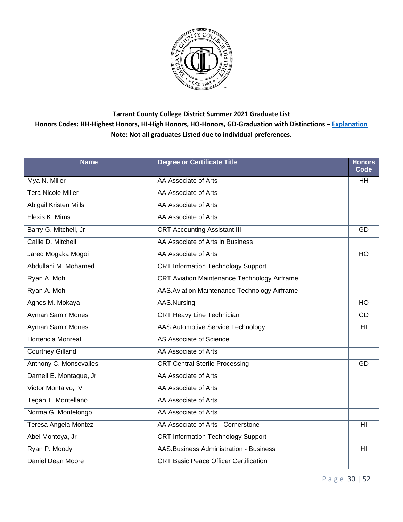

| <b>Name</b>               | <b>Degree or Certificate Title</b>                  | <b>Honors</b><br>Code |
|---------------------------|-----------------------------------------------------|-----------------------|
| Mya N. Miller             | AA.Associate of Arts                                | <b>HH</b>             |
| <b>Tera Nicole Miller</b> | AA.Associate of Arts                                |                       |
| Abigail Kristen Mills     | AA.Associate of Arts                                |                       |
| Elexis K. Mims            | AA.Associate of Arts                                |                       |
| Barry G. Mitchell, Jr     | <b>CRT.Accounting Assistant III</b>                 | GD                    |
| Callie D. Mitchell        | AA. Associate of Arts in Business                   |                       |
| Jared Mogaka Mogoi        | AA.Associate of Arts                                | HO                    |
| Abdullahi M. Mohamed      | <b>CRT.Information Technology Support</b>           |                       |
| Ryan A. Mohl              | <b>CRT.Aviation Maintenance Technology Airframe</b> |                       |
| Ryan A. Mohl              | AAS. Aviation Maintenance Technology Airframe       |                       |
| Agnes M. Mokaya           | AAS.Nursing                                         | HO                    |
| Ayman Samir Mones         | <b>CRT.Heavy Line Technician</b>                    | GD                    |
| Ayman Samir Mones         | <b>AAS.Automotive Service Technology</b>            | HI                    |
| <b>Hortencia Monreal</b>  | AS.Associate of Science                             |                       |
| <b>Courtney Gilland</b>   | AA.Associate of Arts                                |                       |
| Anthony C. Monsevalles    | <b>CRT.Central Sterile Processing</b>               | GD                    |
| Darnell E. Montague, Jr   | AA.Associate of Arts                                |                       |
| Victor Montalvo, IV       | AA.Associate of Arts                                |                       |
| Tegan T. Montellano       | AA.Associate of Arts                                |                       |
| Norma G. Montelongo       | AA.Associate of Arts                                |                       |
| Teresa Angela Montez      | AA.Associate of Arts - Cornerstone                  | HI                    |
| Abel Montoya, Jr          | <b>CRT.Information Technology Support</b>           |                       |
| Ryan P. Moody             | AAS. Business Administration - Business             | H <sub>II</sub>       |
| Daniel Dean Moore         | <b>CRT.Basic Peace Officer Certification</b>        |                       |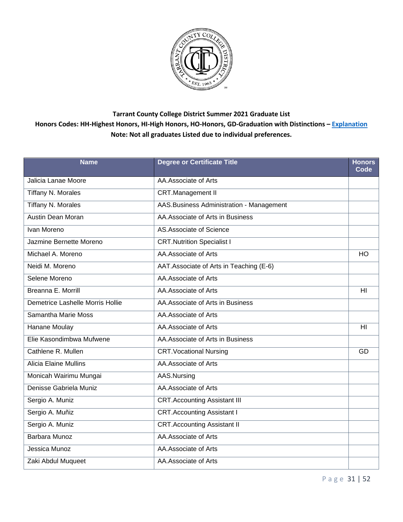

| <b>Name</b>                      | <b>Degree or Certificate Title</b>        | <b>Honors</b><br>Code |
|----------------------------------|-------------------------------------------|-----------------------|
| Jalicia Lanae Moore              | AA.Associate of Arts                      |                       |
| Tiffany N. Morales               | <b>CRT.Management II</b>                  |                       |
| <b>Tiffany N. Morales</b>        | AAS. Business Administration - Management |                       |
| <b>Austin Dean Moran</b>         | AA. Associate of Arts in Business         |                       |
| Ivan Moreno                      | AS.Associate of Science                   |                       |
| Jazmine Bernette Moreno          | <b>CRT.Nutrition Specialist I</b>         |                       |
| Michael A. Moreno                | AA.Associate of Arts                      | HO                    |
| Neidi M. Moreno                  | AAT. Associate of Arts in Teaching (E-6)  |                       |
| Selene Moreno                    | AA.Associate of Arts                      |                       |
| Breanna E. Morrill               | AA.Associate of Arts                      | H <sub>l</sub>        |
| Demetrice Lashelle Morris Hollie | AA. Associate of Arts in Business         |                       |
| Samantha Marie Moss              | AA.Associate of Arts                      |                       |
| Hanane Moulay                    | AA.Associate of Arts                      | H <sub>l</sub>        |
| Elie Kasondimbwa Mufwene         | AA.Associate of Arts in Business          |                       |
| Cathlene R. Mullen               | <b>CRT. Vocational Nursing</b>            | GD                    |
| <b>Alicia Elaine Mullins</b>     | AA.Associate of Arts                      |                       |
| Monicah Wairimu Mungai           | AAS.Nursing                               |                       |
| Denisse Gabriela Muniz           | AA.Associate of Arts                      |                       |
| Sergio A. Muniz                  | <b>CRT.Accounting Assistant III</b>       |                       |
| Sergio A. Muñiz                  | <b>CRT.Accounting Assistant I</b>         |                       |
| Sergio A. Muniz                  | <b>CRT.Accounting Assistant II</b>        |                       |
| Barbara Munoz                    | AA.Associate of Arts                      |                       |
| Jessica Munoz                    | AA.Associate of Arts                      |                       |
| Zaki Abdul Muqueet               | AA.Associate of Arts                      |                       |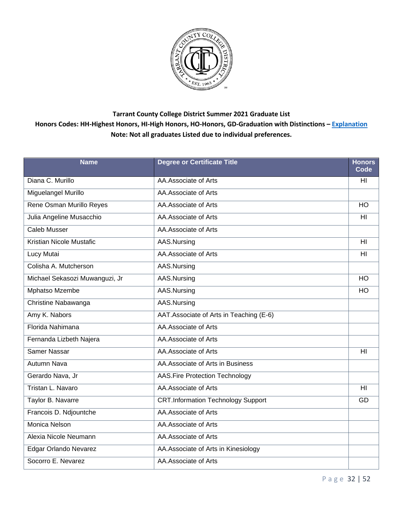

| <b>Name</b>                    | <b>Degree or Certificate Title</b>        | <b>Honors</b><br>Code |
|--------------------------------|-------------------------------------------|-----------------------|
| Diana C. Murillo               | AA.Associate of Arts                      | HI                    |
| Miguelangel Murillo            | AA.Associate of Arts                      |                       |
| Rene Osman Murillo Reyes       | AA.Associate of Arts                      | HO                    |
| Julia Angeline Musacchio       | AA.Associate of Arts                      | HI                    |
| <b>Caleb Musser</b>            | AA.Associate of Arts                      |                       |
| Kristian Nicole Mustafic       | AAS.Nursing                               | HI                    |
| Lucy Mutai                     | AA.Associate of Arts                      | HI                    |
| Colisha A. Mutcherson          | AAS.Nursing                               |                       |
| Michael Sekasozi Muwanguzi, Jr | AAS.Nursing                               | HO                    |
| Mphatso Mzembe                 | AAS.Nursing                               | <b>HO</b>             |
| Christine Nabawanga            | AAS.Nursing                               |                       |
| Amy K. Nabors                  | AAT. Associate of Arts in Teaching (E-6)  |                       |
| Florida Nahimana               | AA.Associate of Arts                      |                       |
| Fernanda Lizbeth Najera        | AA.Associate of Arts                      |                       |
| Samer Nassar                   | AA.Associate of Arts                      | H <sub>l</sub>        |
| <b>Autumn Nava</b>             | AA. Associate of Arts in Business         |                       |
| Gerardo Nava, Jr               | <b>AAS.Fire Protection Technology</b>     |                       |
| Tristan L. Navaro              | AA.Associate of Arts                      | HI                    |
| Taylor B. Navarre              | <b>CRT.Information Technology Support</b> | GD                    |
| Francois D. Ndjountche         | AA.Associate of Arts                      |                       |
| Monica Nelson                  | AA.Associate of Arts                      |                       |
| Alexia Nicole Neumann          | AA.Associate of Arts                      |                       |
| Edgar Orlando Nevarez          | AA.Associate of Arts in Kinesiology       |                       |
| Socorro E. Nevarez             | AA.Associate of Arts                      |                       |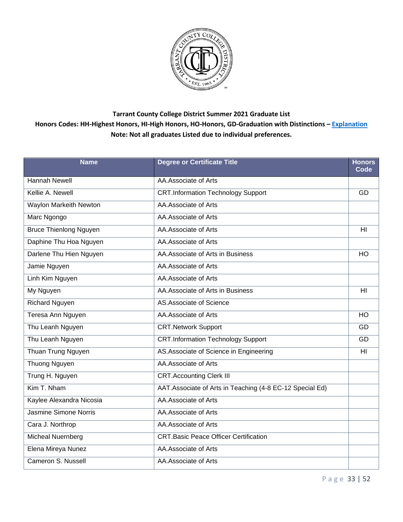

| <b>Name</b>                   | <b>Degree or Certificate Title</b>                        | <b>Honors</b><br>Code |
|-------------------------------|-----------------------------------------------------------|-----------------------|
| <b>Hannah Newell</b>          | AA.Associate of Arts                                      |                       |
| Kellie A. Newell              | <b>CRT.Information Technology Support</b>                 | GD                    |
| Waylon Markeith Newton        | AA.Associate of Arts                                      |                       |
| Marc Ngongo                   | AA.Associate of Arts                                      |                       |
| <b>Bruce Thienlong Nguyen</b> | AA.Associate of Arts                                      | HI                    |
| Daphine Thu Hoa Nguyen        | AA.Associate of Arts                                      |                       |
| Darlene Thu Hien Nguyen       | AA.Associate of Arts in Business                          | H <sub>O</sub>        |
| Jamie Nguyen                  | AA.Associate of Arts                                      |                       |
| Linh Kim Nguyen               | AA.Associate of Arts                                      |                       |
| My Nguyen                     | AA. Associate of Arts in Business                         | H <sub>l</sub>        |
| Richard Nguyen                | AS.Associate of Science                                   |                       |
| Teresa Ann Nguyen             | AA.Associate of Arts                                      | <b>HO</b>             |
| Thu Leanh Nguyen              | <b>CRT.Network Support</b>                                | GD                    |
| Thu Leanh Nguyen              | <b>CRT.Information Technology Support</b>                 | GD                    |
| Thuan Trung Nguyen            | AS. Associate of Science in Engineering                   | H <sub>l</sub>        |
| <b>Thuong Nguyen</b>          | AA.Associate of Arts                                      |                       |
| Trung H. Nguyen               | <b>CRT.Accounting Clerk III</b>                           |                       |
| Kim T. Nham                   | AAT. Associate of Arts in Teaching (4-8 EC-12 Special Ed) |                       |
| Kaylee Alexandra Nicosia      | AA.Associate of Arts                                      |                       |
| Jasmine Simone Norris         | AA.Associate of Arts                                      |                       |
| Cara J. Northrop              | AA.Associate of Arts                                      |                       |
| <b>Micheal Nuernberg</b>      | <b>CRT.Basic Peace Officer Certification</b>              |                       |
| Elena Mireya Nunez            | AA.Associate of Arts                                      |                       |
| Cameron S. Nussell            | AA.Associate of Arts                                      |                       |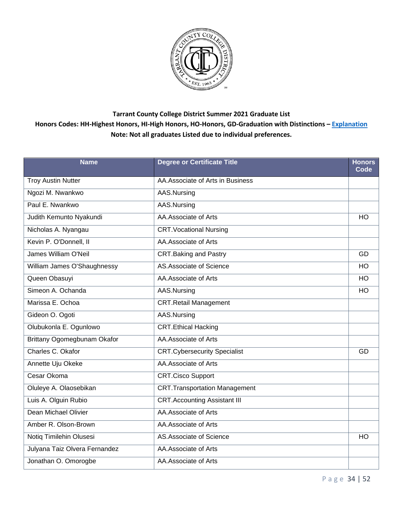

| <b>Name</b>                   | <b>Degree or Certificate Title</b>   | <b>Honors</b><br>Code |
|-------------------------------|--------------------------------------|-----------------------|
| <b>Troy Austin Nutter</b>     | AA.Associate of Arts in Business     |                       |
| Ngozi M. Nwankwo              | AAS.Nursing                          |                       |
| Paul E. Nwankwo               | AAS.Nursing                          |                       |
| Judith Kemunto Nyakundi       | AA.Associate of Arts                 | <b>HO</b>             |
| Nicholas A. Nyangau           | <b>CRT. Vocational Nursing</b>       |                       |
| Kevin P. O'Donnell, II        | AA.Associate of Arts                 |                       |
| James William O'Neil          | <b>CRT.Baking and Pastry</b>         | GD                    |
| William James O'Shaughnessy   | AS.Associate of Science              | <b>HO</b>             |
| Queen Obasuyi                 | AA.Associate of Arts                 | HO                    |
| Simeon A. Ochanda             | AAS.Nursing                          | <b>HO</b>             |
| Marissa E. Ochoa              | <b>CRT.Retail Management</b>         |                       |
| Gideon O. Ogoti               | AAS.Nursing                          |                       |
| Olubukonla E. Ogunlowo        | <b>CRT.Ethical Hacking</b>           |                       |
| Brittany Ogomegbunam Okafor   | AA.Associate of Arts                 |                       |
| Charles C. Okafor             | <b>CRT.Cybersecurity Specialist</b>  | GD                    |
| Annette Uju Okeke             | AA.Associate of Arts                 |                       |
| Cesar Okoma                   | <b>CRT.Cisco Support</b>             |                       |
| Oluleye A. Olaosebikan        | <b>CRT.Transportation Management</b> |                       |
| Luis A. Olguin Rubio          | <b>CRT.Accounting Assistant III</b>  |                       |
| Dean Michael Olivier          | AA.Associate of Arts                 |                       |
| Amber R. Olson-Brown          | AA.Associate of Arts                 |                       |
| Notiq Timilehin Olusesi       | AS.Associate of Science              | HO                    |
| Julyana Taiz Olvera Fernandez | AA.Associate of Arts                 |                       |
| Jonathan O. Omorogbe          | AA.Associate of Arts                 |                       |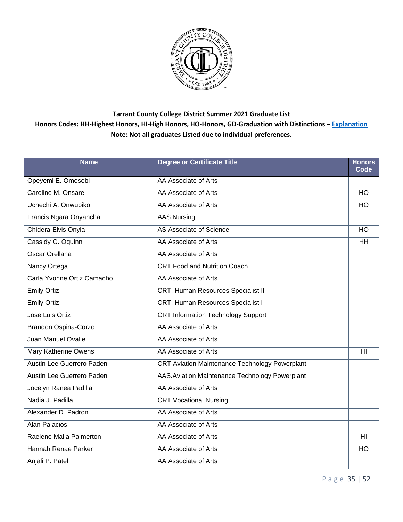

| <b>Name</b>                | <b>Degree or Certificate Title</b>                    | <b>Honors</b><br>Code |
|----------------------------|-------------------------------------------------------|-----------------------|
| Opeyemi E. Omosebi         | AA.Associate of Arts                                  |                       |
| Caroline M. Onsare         | AA.Associate of Arts                                  | HO                    |
| Uchechi A. Onwubiko        | AA.Associate of Arts                                  | HO                    |
| Francis Ngara Onyancha     | AAS.Nursing                                           |                       |
| Chidera Elvis Onyia        | AS.Associate of Science                               | <b>HO</b>             |
| Cassidy G. Oquinn          | AA.Associate of Arts                                  | <b>HH</b>             |
| <b>Oscar Orellana</b>      | AA.Associate of Arts                                  |                       |
| Nancy Ortega               | <b>CRT.Food and Nutrition Coach</b>                   |                       |
| Carla Yvonne Ortiz Camacho | AA.Associate of Arts                                  |                       |
| <b>Emily Ortiz</b>         | <b>CRT. Human Resources Specialist II</b>             |                       |
| <b>Emily Ortiz</b>         | CRT. Human Resources Specialist I                     |                       |
| Jose Luis Ortiz            | <b>CRT.Information Technology Support</b>             |                       |
| Brandon Ospina-Corzo       | AA.Associate of Arts                                  |                       |
| Juan Manuel Ovalle         | AA.Associate of Arts                                  |                       |
| Mary Katherine Owens       | AA.Associate of Arts                                  | H <sub>l</sub>        |
| Austin Lee Guerrero Paden  | <b>CRT.Aviation Maintenance Technology Powerplant</b> |                       |
| Austin Lee Guerrero Paden  | AAS. Aviation Maintenance Technology Powerplant       |                       |
| Jocelyn Ranea Padilla      | AA.Associate of Arts                                  |                       |
| Nadia J. Padilla           | <b>CRT. Vocational Nursing</b>                        |                       |
| Alexander D. Padron        | AA.Associate of Arts                                  |                       |
| <b>Alan Palacios</b>       | AA.Associate of Arts                                  |                       |
| Raelene Malia Palmerton    | AA.Associate of Arts                                  | H <sub>l</sub>        |
| Hannah Renae Parker        | AA.Associate of Arts                                  | <b>HO</b>             |
| Anjali P. Patel            | AA.Associate of Arts                                  |                       |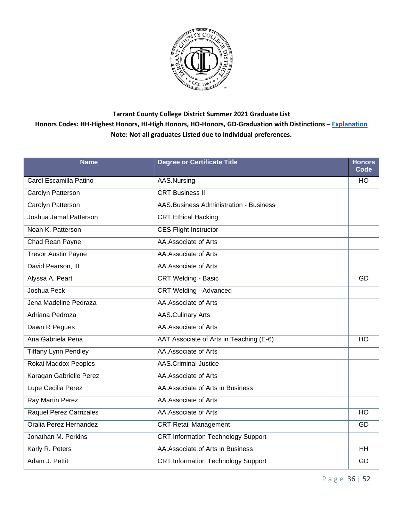

| <b>Name</b>                 | <b>Degree or Certificate Title</b>            | <b>Honors</b><br>Code |
|-----------------------------|-----------------------------------------------|-----------------------|
| Carol Escamilla Patino      | AAS.Nursing                                   | <b>HO</b>             |
| Carolyn Patterson           | <b>CRT.Business II</b>                        |                       |
| Carolyn Patterson           | <b>AAS.Business Administration - Business</b> |                       |
| Joshua Jamal Patterson      | <b>CRT.Ethical Hacking</b>                    |                       |
| Noah K. Patterson           | <b>CES.Flight Instructor</b>                  |                       |
| Chad Rean Payne             | AA.Associate of Arts                          |                       |
| <b>Trevor Austin Payne</b>  | AA.Associate of Arts                          |                       |
| David Pearson, III          | AA.Associate of Arts                          |                       |
| Alyssa A. Peart             | <b>CRT. Welding - Basic</b>                   | GD                    |
| Joshua Peck                 | CRT. Welding - Advanced                       |                       |
| Jena Madeline Pedraza       | AA.Associate of Arts                          |                       |
| Adriana Pedroza             | <b>AAS.Culinary Arts</b>                      |                       |
| Dawn R Pegues               | AA.Associate of Arts                          |                       |
| Ana Gabriela Pena           | AAT.Associate of Arts in Teaching (E-6)       | HO                    |
| <b>Tiffany Lynn Pendley</b> | AA.Associate of Arts                          |                       |
| Rokai Maddox Peoples        | <b>AAS.Criminal Justice</b>                   |                       |
| Karagan Gabrielle Perez     | AA.Associate of Arts                          |                       |
| Lupe Cecilia Perez          | AA.Associate of Arts in Business              |                       |
| Ray Martin Perez            | AA.Associate of Arts                          |                       |
| Raquel Perez Carrizales     | AA.Associate of Arts                          | <b>HO</b>             |
| Oralia Perez Hernandez      | <b>CRT.Retail Management</b>                  | GD                    |
| Jonathan M. Perkins         | <b>CRT.Information Technology Support</b>     |                       |
| Karly R. Peters             | AA.Associate of Arts in Business              | <b>HH</b>             |
| Adam J. Pettit              | <b>CRT.Information Technology Support</b>     | GD                    |

P a g e 36 | 52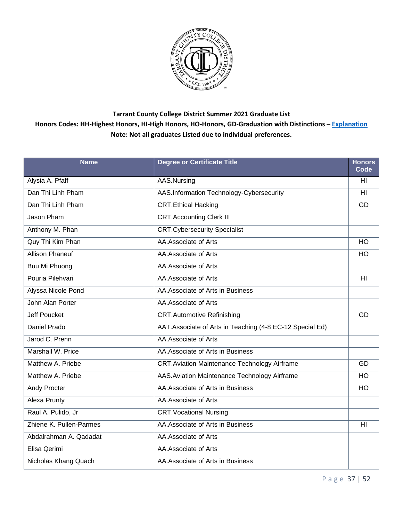

| <b>Name</b>             | <b>Degree or Certificate Title</b>                       | <b>Honors</b><br>Code |
|-------------------------|----------------------------------------------------------|-----------------------|
| Alysia A. Pfaff         | AAS.Nursing                                              | H <sub>l</sub>        |
| Dan Thi Linh Pham       | AAS.Information Technology-Cybersecurity                 | H <sub>II</sub>       |
| Dan Thi Linh Pham       | <b>CRT.Ethical Hacking</b>                               | GD                    |
| Jason Pham              | <b>CRT.Accounting Clerk III</b>                          |                       |
| Anthony M. Phan         | <b>CRT.Cybersecurity Specialist</b>                      |                       |
| Quy Thi Kim Phan        | AA.Associate of Arts                                     | <b>HO</b>             |
| <b>Allison Phaneuf</b>  | AA.Associate of Arts                                     | HO                    |
| Buu Mi Phuong           | AA.Associate of Arts                                     |                       |
| Pouria Pilehvari        | AA.Associate of Arts                                     | H <sub>II</sub>       |
| Alyssa Nicole Pond      | AA. Associate of Arts in Business                        |                       |
| John Alan Porter        | AA.Associate of Arts                                     |                       |
| <b>Jeff Poucket</b>     | <b>CRT.Automotive Refinishing</b>                        | GD                    |
| Daniel Prado            | AAT.Associate of Arts in Teaching (4-8 EC-12 Special Ed) |                       |
| Jarod C. Prenn          | AA.Associate of Arts                                     |                       |
| Marshall W. Price       | AA. Associate of Arts in Business                        |                       |
| Matthew A. Priebe       | <b>CRT.Aviation Maintenance Technology Airframe</b>      | GD                    |
| Matthew A. Priebe       | AAS. Aviation Maintenance Technology Airframe            | HO                    |
| Andy Procter            | AA.Associate of Arts in Business                         | HO                    |
| Alexa Prunty            | AA.Associate of Arts                                     |                       |
| Raul A. Pulido, Jr      | <b>CRT. Vocational Nursing</b>                           |                       |
| Zhiene K. Pullen-Parmes | AA. Associate of Arts in Business                        | H <sub>l</sub>        |
| Abdalrahman A. Qadadat  | AA.Associate of Arts                                     |                       |
| Elisa Qerimi            | AA.Associate of Arts                                     |                       |
| Nicholas Khang Quach    | AA.Associate of Arts in Business                         |                       |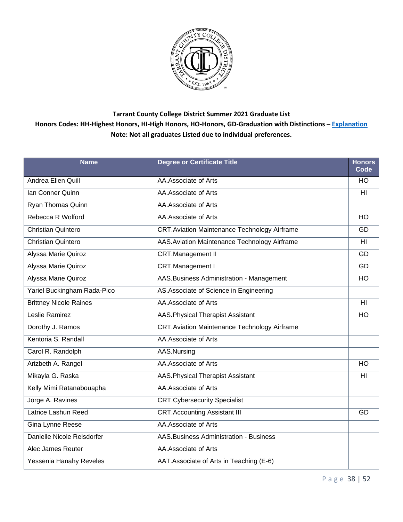

| <b>Name</b>                   | <b>Degree or Certificate Title</b>                  | <b>Honors</b><br>Code |
|-------------------------------|-----------------------------------------------------|-----------------------|
| Andrea Ellen Quill            | AA.Associate of Arts                                | <b>HO</b>             |
| Ian Conner Quinn              | AA.Associate of Arts                                | H <sub>II</sub>       |
| Ryan Thomas Quinn             | AA.Associate of Arts                                |                       |
| Rebecca R Wolford             | AA.Associate of Arts                                | $\overline{HO}$       |
| <b>Christian Quintero</b>     | <b>CRT.Aviation Maintenance Technology Airframe</b> | GD                    |
| <b>Christian Quintero</b>     | AAS. Aviation Maintenance Technology Airframe       | H <sub>II</sub>       |
| Alyssa Marie Quiroz           | <b>CRT.Management II</b>                            | $\overline{GD}$       |
| Alyssa Marie Quiroz           | CRT.Management I                                    | GD                    |
| Alyssa Marie Quiroz           | AAS. Business Administration - Management           | <b>HO</b>             |
| Yariel Buckingham Rada-Pico   | AS.Associate of Science in Engineering              |                       |
| <b>Brittney Nicole Raines</b> | AA.Associate of Arts                                | H <sub>II</sub>       |
| Leslie Ramirez                | AAS. Physical Therapist Assistant                   | HO                    |
| Dorothy J. Ramos              | <b>CRT.Aviation Maintenance Technology Airframe</b> |                       |
| Kentoria S. Randall           | AA.Associate of Arts                                |                       |
| Carol R. Randolph             | AAS.Nursing                                         |                       |
| Arizbeth A. Rangel            | AA.Associate of Arts                                | HO                    |
| Mikayla G. Raska              | <b>AAS. Physical Therapist Assistant</b>            | H <sub>II</sub>       |
| Kelly Mimi Ratanabouapha      | AA.Associate of Arts                                |                       |
| Jorge A. Ravines              | <b>CRT.Cybersecurity Specialist</b>                 |                       |
| Latrice Lashun Reed           | <b>CRT.Accounting Assistant III</b>                 | GD                    |
| Gina Lynne Reese              | AA.Associate of Arts                                |                       |
| Danielle Nicole Reisdorfer    | AAS. Business Administration - Business             |                       |
| Alec James Reuter             | AA.Associate of Arts                                |                       |
| Yessenia Hanahy Reveles       | AAT. Associate of Arts in Teaching (E-6)            |                       |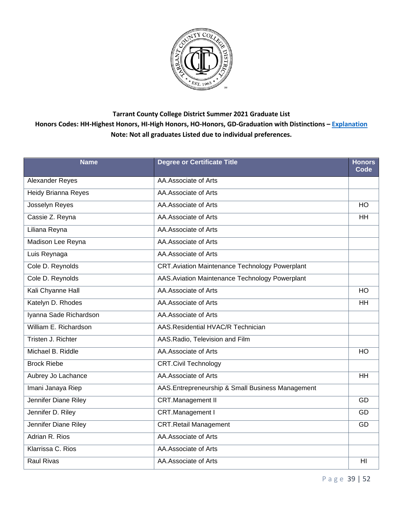

| <b>Name</b>                 | <b>Degree or Certificate Title</b>                    | <b>Honors</b><br>Code |
|-----------------------------|-------------------------------------------------------|-----------------------|
| Alexander Reyes             | AA.Associate of Arts                                  |                       |
| Heidy Brianna Reyes         | AA.Associate of Arts                                  |                       |
| Josselyn Reyes              | AA.Associate of Arts                                  | HO                    |
| Cassie Z. Reyna             | AA.Associate of Arts                                  | <b>HH</b>             |
| Liliana Reyna               | AA.Associate of Arts                                  |                       |
| Madison Lee Reyna           | AA.Associate of Arts                                  |                       |
| Luis Reynaga                | AA.Associate of Arts                                  |                       |
| Cole D. Reynolds            | <b>CRT.Aviation Maintenance Technology Powerplant</b> |                       |
| Cole D. Reynolds            | AAS. Aviation Maintenance Technology Powerplant       |                       |
| Kali Chyanne Hall           | AA.Associate of Arts                                  | HO                    |
| Katelyn D. Rhodes           | AA.Associate of Arts                                  | HH                    |
| Iyanna Sade Richardson      | AA.Associate of Arts                                  |                       |
| William E. Richardson       | AAS.Residential HVAC/R Technician                     |                       |
| Tristen J. Richter          | AAS.Radio, Television and Film                        |                       |
| Michael B. Riddle           | AA.Associate of Arts                                  | HO                    |
| <b>Brock Riebe</b>          | <b>CRT.Civil Technology</b>                           |                       |
| Aubrey Jo Lachance          | AA.Associate of Arts                                  | <b>HH</b>             |
| Imani Janaya Riep           | AAS.Entrepreneurship & Small Business Management      |                       |
| <b>Jennifer Diane Riley</b> | <b>CRT.Management II</b>                              | GD                    |
| Jennifer D. Riley           | CRT.Management I                                      | GD                    |
| Jennifer Diane Riley        | <b>CRT.Retail Management</b>                          | GD                    |
| Adrian R. Rios              | AA.Associate of Arts                                  |                       |
| Klarrissa C. Rios           | AA.Associate of Arts                                  |                       |
| <b>Raul Rivas</b>           | AA.Associate of Arts                                  | HI                    |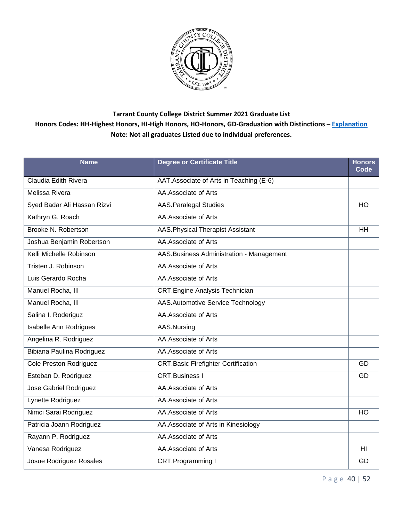

| <b>Name</b>                   | <b>Degree or Certificate Title</b>         | <b>Honors</b><br>Code |
|-------------------------------|--------------------------------------------|-----------------------|
| Claudia Edith Rivera          | AAT. Associate of Arts in Teaching (E-6)   |                       |
| Melissa Rivera                | AA.Associate of Arts                       |                       |
| Syed Badar Ali Hassan Rizvi   | <b>AAS.Paralegal Studies</b>               | HO                    |
| Kathryn G. Roach              | AA.Associate of Arts                       |                       |
| Brooke N. Robertson           | AAS. Physical Therapist Assistant          | <b>HH</b>             |
| Joshua Benjamin Robertson     | AA.Associate of Arts                       |                       |
| Kelli Michelle Robinson       | AAS. Business Administration - Management  |                       |
| Tristen J. Robinson           | AA.Associate of Arts                       |                       |
| Luis Gerardo Rocha            | AA.Associate of Arts                       |                       |
| Manuel Rocha, III             | <b>CRT.Engine Analysis Technician</b>      |                       |
| Manuel Rocha, III             | AAS.Automotive Service Technology          |                       |
| Salina I. Roderiguz           | AA.Associate of Arts                       |                       |
| <b>Isabelle Ann Rodrigues</b> | AAS.Nursing                                |                       |
| Angelina R. Rodriguez         | AA.Associate of Arts                       |                       |
| Bibiana Paulina Rodriguez     | AA.Associate of Arts                       |                       |
| Cole Preston Rodriguez        | <b>CRT.Basic Firefighter Certification</b> | GD                    |
| Esteban D. Rodriguez          | <b>CRT.Business I</b>                      | GD                    |
| Jose Gabriel Rodriguez        | AA.Associate of Arts                       |                       |
| Lynette Rodriguez             | AA.Associate of Arts                       |                       |
| Nimci Sarai Rodriguez         | AA.Associate of Arts                       | HO                    |
| Patricia Joann Rodriguez      | AA. Associate of Arts in Kinesiology       |                       |
| Rayann P. Rodriguez           | AA.Associate of Arts                       |                       |
| Vanesa Rodriguez              | AA.Associate of Arts                       | H <sub>II</sub>       |
| Josue Rodriguez Rosales       | CRT.Programming I                          | GD                    |

P a g e 40 | 52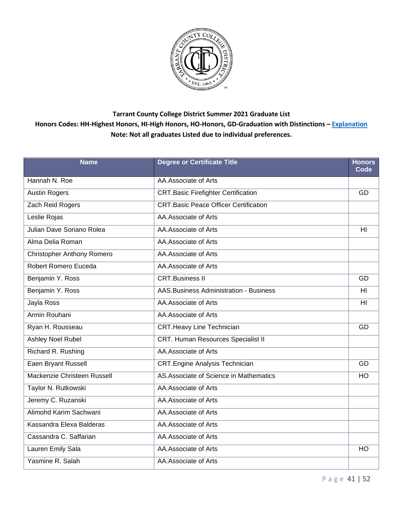

| <b>Name</b>                       | <b>Degree or Certificate Title</b>           | <b>Honors</b><br>Code |
|-----------------------------------|----------------------------------------------|-----------------------|
| Hannah N. Roe                     | AA.Associate of Arts                         |                       |
| <b>Austin Rogers</b>              | <b>CRT.Basic Firefighter Certification</b>   | GD                    |
| Zach Reid Rogers                  | <b>CRT.Basic Peace Officer Certification</b> |                       |
| Leslie Rojas                      | AA.Associate of Arts                         |                       |
| Julian Dave Soriano Rolea         | AA.Associate of Arts                         | HI                    |
| Alma Delia Roman                  | AA.Associate of Arts                         |                       |
| <b>Christopher Anthony Romero</b> | AA.Associate of Arts                         |                       |
| Robert Romero Euceda              | AA.Associate of Arts                         |                       |
| Benjamin Y. Ross                  | <b>CRT.Business II</b>                       | GD                    |
| Benjamin Y. Ross                  | AAS. Business Administration - Business      | H <sub>l</sub>        |
| Jayla Ross                        | AA.Associate of Arts                         | HI                    |
| Armin Rouhani                     | AA.Associate of Arts                         |                       |
| Ryan H. Rousseau                  | <b>CRT.Heavy Line Technician</b>             | GD                    |
| Ashley Noel Rubel                 | <b>CRT. Human Resources Specialist II</b>    |                       |
| Richard R. Rushing                | AA.Associate of Arts                         |                       |
| Eaen Bryant Russell               | <b>CRT.Engine Analysis Technician</b>        | GD                    |
| Mackenzie Christeen Russell       | AS. Associate of Science in Mathematics      | <b>HO</b>             |
| Taylor N. Rutkowski               | AA.Associate of Arts                         |                       |
| Jeremy C. Ruzanski                | AA.Associate of Arts                         |                       |
| Alimohd Karim Sachwani            | AA.Associate of Arts                         |                       |
| Kassandra Elexa Balderas          | AA.Associate of Arts                         |                       |
| Cassandra C. Saffarian            | AA.Associate of Arts                         |                       |
| Lauren Emily Sala                 | AA.Associate of Arts                         | <b>HO</b>             |
| Yasmine R. Salah                  | AA. Associate of Arts                        |                       |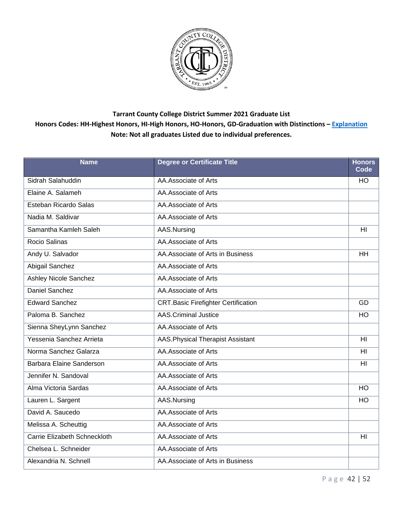

| <b>Name</b>                  | <b>Degree or Certificate Title</b>         | <b>Honors</b><br>Code |
|------------------------------|--------------------------------------------|-----------------------|
| Sidrah Salahuddin            | AA.Associate of Arts                       | HO                    |
| Elaine A. Salameh            | AA.Associate of Arts                       |                       |
| Esteban Ricardo Salas        | AA.Associate of Arts                       |                       |
| Nadia M. Saldivar            | AA.Associate of Arts                       |                       |
| Samantha Kamleh Saleh        | AAS.Nursing                                | H <sub>II</sub>       |
| Rocio Salinas                | AA.Associate of Arts                       |                       |
| Andy U. Salvador             | AA. Associate of Arts in Business          | <b>HH</b>             |
| Abigail Sanchez              | AA.Associate of Arts                       |                       |
| Ashley Nicole Sanchez        | AA.Associate of Arts                       |                       |
| Daniel Sanchez               | AA.Associate of Arts                       |                       |
| <b>Edward Sanchez</b>        | <b>CRT.Basic Firefighter Certification</b> | GD                    |
| Paloma B. Sanchez            | <b>AAS.Criminal Justice</b>                | HO                    |
| Sienna SheyLynn Sanchez      | AA.Associate of Arts                       |                       |
| Yessenia Sanchez Arrieta     | AAS. Physical Therapist Assistant          | H <sub>II</sub>       |
| Norma Sanchez Galarza        | AA.Associate of Arts                       | H <sub>l</sub>        |
| Barbara Elaine Sanderson     | AA.Associate of Arts                       | H <sub>II</sub>       |
| Jennifer N. Sandoval         | AA.Associate of Arts                       |                       |
| Alma Victoria Sardas         | AA.Associate of Arts                       | HO                    |
| Lauren L. Sargent            | AAS.Nursing                                | <b>HO</b>             |
| David A. Saucedo             | AA.Associate of Arts                       |                       |
| Melissa A. Scheuttig         | AA.Associate of Arts                       |                       |
| Carrie Elizabeth Schneckloth | AA.Associate of Arts                       | H <sub>l</sub>        |
| Chelsea L. Schneider         | AA.Associate of Arts                       |                       |
| Alexandria N. Schnell        | AA. Associate of Arts in Business          |                       |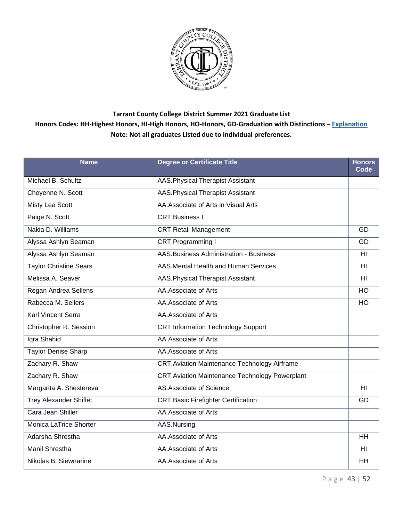

| <b>Name</b>                   | <b>Degree or Certificate Title</b>                    | <b>Honors</b><br>Code |
|-------------------------------|-------------------------------------------------------|-----------------------|
| Michael B. Schultz            | AAS. Physical Therapist Assistant                     |                       |
| Cheyenne N. Scott             | <b>AAS. Physical Therapist Assistant</b>              |                       |
| Misty Lea Scott               | AA.Associate of Arts in Visual Arts                   |                       |
| Paige N. Scott                | <b>CRT.Business I</b>                                 |                       |
| Nakia D. Williams             | <b>CRT.Retail Management</b>                          | GD                    |
| Alyssa Ashlyn Seaman          | CRT.Programming I                                     | GD                    |
| Alyssa Ashlyn Seaman          | AAS. Business Administration - Business               | HI                    |
| <b>Taylor Christine Sears</b> | AAS. Mental Health and Human Services                 | H <sub>II</sub>       |
| Melissa A. Seaver             | AAS. Physical Therapist Assistant                     | H <sub>l</sub>        |
| Regan Andrea Sellens          | AA.Associate of Arts                                  | $\overline{HO}$       |
| Rabecca M. Sellers            | AA.Associate of Arts                                  | HO                    |
| <b>Karl Vincent Serra</b>     | AA.Associate of Arts                                  |                       |
| Christopher R. Session        | <b>CRT.Information Technology Support</b>             |                       |
| Iqra Shahid                   | AA.Associate of Arts                                  |                       |
| <b>Taylor Denise Sharp</b>    | AA.Associate of Arts                                  |                       |
| Zachary R. Shaw               | <b>CRT.Aviation Maintenance Technology Airframe</b>   |                       |
| Zachary R. Shaw               | <b>CRT.Aviation Maintenance Technology Powerplant</b> |                       |
| Margarita A. Shestereva       | AS.Associate of Science                               | HI                    |
| <b>Trey Alexander Shiflet</b> | <b>CRT.Basic Firefighter Certification</b>            | GD                    |
| Cara Jean Shiller             | AA.Associate of Arts                                  |                       |
| Monica LaTrice Shorter        | AAS.Nursing                                           |                       |
| Adarsha Shrestha              | AA.Associate of Arts                                  | <b>HH</b>             |
| Manil Shrestha                | AA.Associate of Arts                                  | HI                    |
| Nikolas B. Siewnarine         | AA.Associate of Arts                                  | HH                    |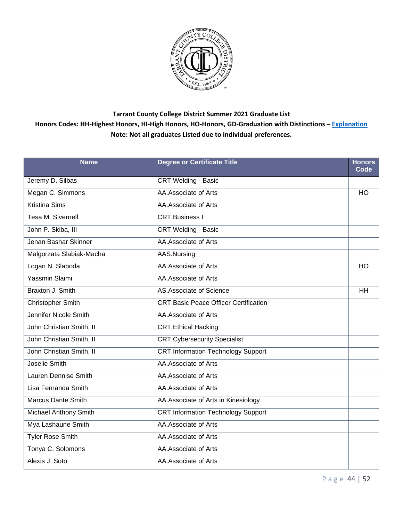

| <b>Name</b>               | <b>Degree or Certificate Title</b>           | <b>Honors</b><br>Code |
|---------------------------|----------------------------------------------|-----------------------|
| Jeremy D. Silbas          | <b>CRT. Welding - Basic</b>                  |                       |
| Megan C. Simmons          | AA.Associate of Arts                         | <b>HO</b>             |
| <b>Kristina Sims</b>      | AA.Associate of Arts                         |                       |
| <b>Tesa M. Sivernell</b>  | <b>CRT.Business I</b>                        |                       |
| John P. Skiba, III        | <b>CRT.Welding - Basic</b>                   |                       |
| Jenan Bashar Skinner      | AA.Associate of Arts                         |                       |
| Malgorzata Slabiak-Macha  | AAS.Nursing                                  |                       |
| Logan N. Slaboda          | AA.Associate of Arts                         | <b>HO</b>             |
| Yassmin Slaimi            | AA.Associate of Arts                         |                       |
| Braxton J. Smith          | AS.Associate of Science                      | <b>HH</b>             |
| <b>Christopher Smith</b>  | <b>CRT.Basic Peace Officer Certification</b> |                       |
| Jennifer Nicole Smith     | AA.Associate of Arts                         |                       |
| John Christian Smith, II  | <b>CRT.Ethical Hacking</b>                   |                       |
| John Christian Smith, II  | <b>CRT.Cybersecurity Specialist</b>          |                       |
| John Christian Smith, II  | <b>CRT.Information Technology Support</b>    |                       |
| Joselie Smith             | AA.Associate of Arts                         |                       |
| Lauren Dennise Smith      | AA.Associate of Arts                         |                       |
| Lisa Fernanda Smith       | AA.Associate of Arts                         |                       |
| <b>Marcus Dante Smith</b> | AA. Associate of Arts in Kinesiology         |                       |
| Michael Anthony Smith     | <b>CRT.Information Technology Support</b>    |                       |
| Mya Lashaune Smith        | AA.Associate of Arts                         |                       |
| <b>Tyler Rose Smith</b>   | AA.Associate of Arts                         |                       |
| Tonya C. Solomons         | AA.Associate of Arts                         |                       |
| Alexis J. Soto            | AA.Associate of Arts                         |                       |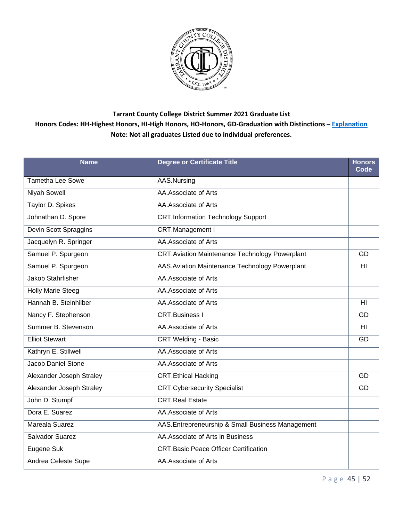

| <b>Name</b>                | <b>Degree or Certificate Title</b>                    | <b>Honors</b><br>Code |
|----------------------------|-------------------------------------------------------|-----------------------|
| <b>Tametha Lee Sowe</b>    | AAS.Nursing                                           |                       |
| Niyah Sowell               | AA.Associate of Arts                                  |                       |
| Taylor D. Spikes           | AA.Associate of Arts                                  |                       |
| Johnathan D. Spore         | <b>CRT.Information Technology Support</b>             |                       |
| Devin Scott Spraggins      | CRT.Management I                                      |                       |
| Jacquelyn R. Springer      | AA.Associate of Arts                                  |                       |
| Samuel P. Spurgeon         | <b>CRT.Aviation Maintenance Technology Powerplant</b> | GD                    |
| Samuel P. Spurgeon         | AAS. Aviation Maintenance Technology Powerplant       | HI                    |
| <b>Jakob Stahrfisher</b>   | AA.Associate of Arts                                  |                       |
| <b>Holly Marie Steeg</b>   | AA.Associate of Arts                                  |                       |
| Hannah B. Steinhilber      | AA.Associate of Arts                                  | H <sub>l</sub>        |
| Nancy F. Stephenson        | <b>CRT.Business I</b>                                 | GD                    |
| Summer B. Stevenson        | AA.Associate of Arts                                  | H <sub>II</sub>       |
| <b>Elliot Stewart</b>      | <b>CRT. Welding - Basic</b>                           | GD                    |
| Kathryn E. Stillwell       | AA.Associate of Arts                                  |                       |
| Jacob Daniel Stone         | AA.Associate of Arts                                  |                       |
| Alexander Joseph Straley   | <b>CRT.Ethical Hacking</b>                            | GD                    |
| Alexander Joseph Straley   | <b>CRT.Cybersecurity Specialist</b>                   | GD                    |
| John D. Stumpf             | <b>CRT.Real Estate</b>                                |                       |
| Dora E. Suarez             | AA.Associate of Arts                                  |                       |
| Mareala Suarez             | AAS.Entrepreneurship & Small Business Management      |                       |
| Salvador Suarez            | AA.Associate of Arts in Business                      |                       |
| Eugene Suk                 | <b>CRT.Basic Peace Officer Certification</b>          |                       |
| <b>Andrea Celeste Supe</b> | AA.Associate of Arts                                  |                       |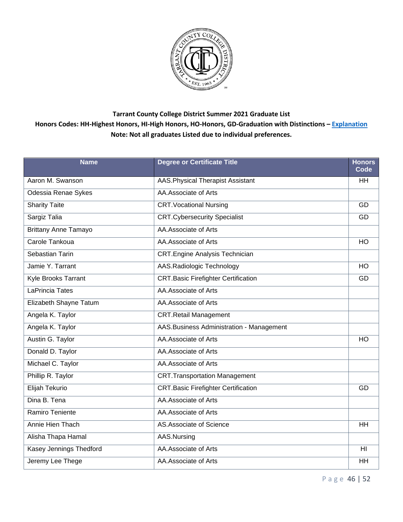

| <b>Name</b>                 | <b>Degree or Certificate Title</b>         | <b>Honors</b><br>Code |
|-----------------------------|--------------------------------------------|-----------------------|
| Aaron M. Swanson            | AAS. Physical Therapist Assistant          | <b>HH</b>             |
| Odessia Renae Sykes         | AA.Associate of Arts                       |                       |
| <b>Sharity Taite</b>        | <b>CRT. Vocational Nursing</b>             | GD                    |
| Sargiz Talia                | <b>CRT.Cybersecurity Specialist</b>        | GD                    |
| <b>Brittany Anne Tamayo</b> | AA.Associate of Arts                       |                       |
| Carole Tankoua              | AA.Associate of Arts                       | HO                    |
| Sebastian Tarin             | <b>CRT.Engine Analysis Technician</b>      |                       |
| Jamie Y. Tarrant            | AAS.Radiologic Technology                  | HO                    |
| Kyle Brooks Tarrant         | <b>CRT.Basic Firefighter Certification</b> | GD                    |
| LaPrincia Tates             | AA.Associate of Arts                       |                       |
| Elizabeth Shayne Tatum      | AA.Associate of Arts                       |                       |
| Angela K. Taylor            | <b>CRT.Retail Management</b>               |                       |
| Angela K. Taylor            | AAS. Business Administration - Management  |                       |
| Austin G. Taylor            | AA.Associate of Arts                       | HO                    |
| Donald D. Taylor            | AA.Associate of Arts                       |                       |
| Michael C. Taylor           | AA.Associate of Arts                       |                       |
| Phillip R. Taylor           | <b>CRT.Transportation Management</b>       |                       |
| Elijah Tekurio              | <b>CRT.Basic Firefighter Certification</b> | GD                    |
| Dina B. Tena                | AA.Associate of Arts                       |                       |
| Ramiro Teniente             | AA.Associate of Arts                       |                       |
| Annie Hien Thach            | AS.Associate of Science                    | <b>HH</b>             |
| Alisha Thapa Hamal          | AAS.Nursing                                |                       |
| Kasey Jennings Thedford     | AA.Associate of Arts                       | H <sub>II</sub>       |
| Jeremy Lee Thege            | AA.Associate of Arts                       | HH                    |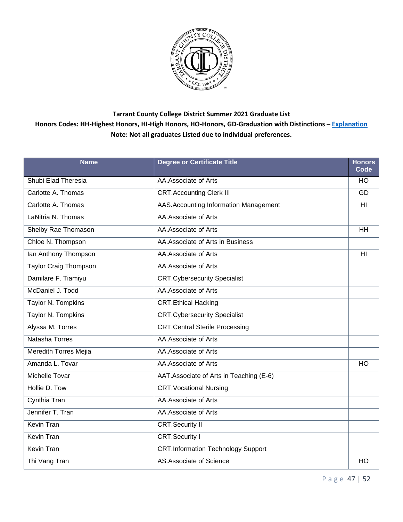

| <b>Name</b>                  | <b>Degree or Certificate Title</b>        | <b>Honors</b><br>Code |
|------------------------------|-------------------------------------------|-----------------------|
| Shubi Elad Theresia          | AA.Associate of Arts                      | <b>HO</b>             |
| Carlotte A. Thomas           | <b>CRT.Accounting Clerk III</b>           | GD                    |
| Carlotte A. Thomas           | AAS.Accounting Information Management     | HI                    |
| LaNitria N. Thomas           | AA.Associate of Arts                      |                       |
| Shelby Rae Thomason          | AA.Associate of Arts                      | <b>HH</b>             |
| Chloe N. Thompson            | AA. Associate of Arts in Business         |                       |
| lan Anthony Thompson         | AA.Associate of Arts                      | HI                    |
| <b>Taylor Craig Thompson</b> | AA.Associate of Arts                      |                       |
| Damilare F. Tiamiyu          | <b>CRT.Cybersecurity Specialist</b>       |                       |
| McDaniel J. Todd             | AA.Associate of Arts                      |                       |
| Taylor N. Tompkins           | <b>CRT.Ethical Hacking</b>                |                       |
| Taylor N. Tompkins           | <b>CRT.Cybersecurity Specialist</b>       |                       |
| Alyssa M. Torres             | <b>CRT.Central Sterile Processing</b>     |                       |
| Natasha Torres               | AA.Associate of Arts                      |                       |
| Meredith Torres Mejia        | AA.Associate of Arts                      |                       |
| Amanda L. Tovar              | AA.Associate of Arts                      | <b>HO</b>             |
| <b>Michelle Tovar</b>        | AAT. Associate of Arts in Teaching (E-6)  |                       |
| Hollie D. Tow                | <b>CRT. Vocational Nursing</b>            |                       |
| Cynthia Tran                 | AA.Associate of Arts                      |                       |
| Jennifer T. Tran             | AA.Associate of Arts                      |                       |
| Kevin Tran                   | <b>CRT.Security II</b>                    |                       |
| <b>Kevin Tran</b>            | <b>CRT.Security I</b>                     |                       |
| Kevin Tran                   | <b>CRT.Information Technology Support</b> |                       |
| Thi Vang Tran                | AS.Associate of Science                   | HO                    |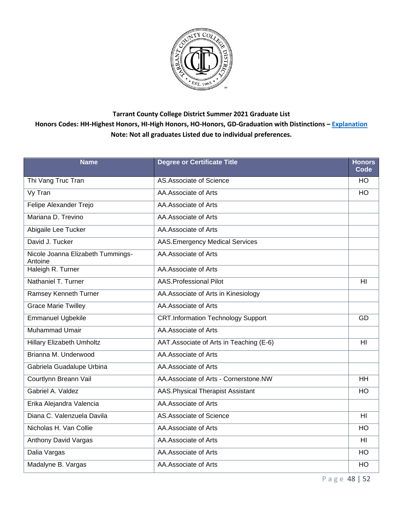

| <b>Name</b>                                  | <b>Degree or Certificate Title</b>        | <b>Honors</b><br>Code |
|----------------------------------------------|-------------------------------------------|-----------------------|
| Thi Vang Truc Tran                           | AS.Associate of Science                   | HO.                   |
| Vy Tran                                      | AA.Associate of Arts                      | HO                    |
| Felipe Alexander Trejo                       | AA.Associate of Arts                      |                       |
| Mariana D. Trevino                           | AA.Associate of Arts                      |                       |
| Abigaile Lee Tucker                          | AA.Associate of Arts                      |                       |
| David J. Tucker                              | <b>AAS.Emergency Medical Services</b>     |                       |
| Nicole Joanna Elizabeth Tummings-<br>Antoine | AA.Associate of Arts                      |                       |
| Haleigh R. Turner                            | AA.Associate of Arts                      |                       |
| Nathaniel T. Turner                          | <b>AAS.Professional Pilot</b>             | HI                    |
| Ramsey Kenneth Turner                        | AA. Associate of Arts in Kinesiology      |                       |
| <b>Grace Marie Twilley</b>                   | AA.Associate of Arts                      |                       |
| <b>Emmanuel Ugbekile</b>                     | <b>CRT.Information Technology Support</b> | GD                    |
| <b>Muhammad Umair</b>                        | AA.Associate of Arts                      |                       |
| <b>Hillary Elizabeth Umholtz</b>             | AAT. Associate of Arts in Teaching (E-6)  | H <sub>l</sub>        |
| Brianna M. Underwood                         | AA.Associate of Arts                      |                       |
| Gabriela Guadalupe Urbina                    | AA.Associate of Arts                      |                       |
| Courtlynn Breann Vail                        | AA.Associate of Arts - Cornerstone.NW     | <b>HH</b>             |
| Gabriel A. Valdez                            | AAS. Physical Therapist Assistant         | HO                    |
| Erika Alejandra Valencia                     | AA.Associate of Arts                      |                       |
| Diana C. Valenzuela Davila                   | AS.Associate of Science                   | $\overline{H}$        |
| Nicholas H. Van Collie                       | AA.Associate of Arts                      | <b>HO</b>             |
| Anthony David Vargas                         | AA.Associate of Arts                      | H <sub>l</sub>        |
| Dalia Vargas                                 | AA.Associate of Arts                      | HO                    |
| Madalyne B. Vargas                           | AA.Associate of Arts                      | HO                    |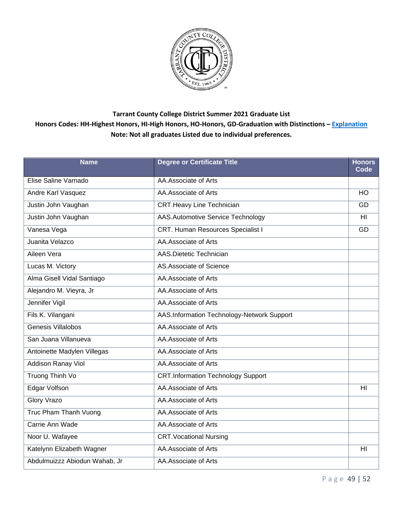

| <b>Name</b>                   | <b>Degree or Certificate Title</b>         | <b>Honors</b><br>Code |
|-------------------------------|--------------------------------------------|-----------------------|
| Elise Saline Varnado          | AA.Associate of Arts                       |                       |
| Andre Karl Vasquez            | AA.Associate of Arts                       | HO                    |
| Justin John Vaughan           | <b>CRT.Heavy Line Technician</b>           | GD                    |
| Justin John Vaughan           | AAS.Automotive Service Technology          | H <sub>II</sub>       |
| Vanesa Vega                   | CRT. Human Resources Specialist I          | GD                    |
| Juanita Velazco               | AA.Associate of Arts                       |                       |
| Aileen Vera                   | AAS.Dietetic Technician                    |                       |
| Lucas M. Victory              | AS.Associate of Science                    |                       |
| Alma Gisell Vidal Santiago    | AA.Associate of Arts                       |                       |
| Alejandro M. Vieyra, Jr       | AA.Associate of Arts                       |                       |
| Jennifer Vigil                | AA.Associate of Arts                       |                       |
| Fils K. Vilangani             | AAS.Information Technology-Network Support |                       |
| Genesis Villalobos            | AA.Associate of Arts                       |                       |
| San Juana Villanueva          | AA.Associate of Arts                       |                       |
| Antoinette Madylen Villegas   | AA.Associate of Arts                       |                       |
| <b>Addison Ranay Viol</b>     | AA.Associate of Arts                       |                       |
| Truong Thinh Vo               | <b>CRT.Information Technology Support</b>  |                       |
| Edgar Volfson                 | AA.Associate of Arts                       | HI                    |
| Glory Vrazo                   | AA.Associate of Arts                       |                       |
| Truc Pham Thanh Vuong         | AA.Associate of Arts                       |                       |
| Carrie Ann Wade               | AA.Associate of Arts                       |                       |
| Noor U. Wafayee               | <b>CRT. Vocational Nursing</b>             |                       |
| Katelynn Elizabeth Wagner     | AA.Associate of Arts                       | H <sub>l</sub>        |
| Abdulmuizzz Abiodun Wahab, Jr | AA.Associate of Arts                       |                       |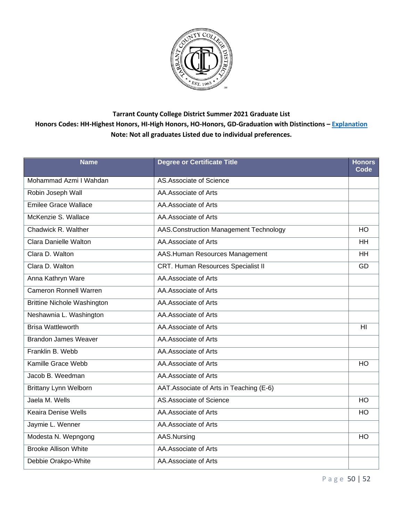

| <b>Name</b>                        | <b>Degree or Certificate Title</b>       | <b>Honors</b><br>Code |
|------------------------------------|------------------------------------------|-----------------------|
| Mohammad Azmi I Wahdan             | AS.Associate of Science                  |                       |
| Robin Joseph Wall                  | AA.Associate of Arts                     |                       |
| <b>Emilee Grace Wallace</b>        | AA.Associate of Arts                     |                       |
| McKenzie S. Wallace                | AA.Associate of Arts                     |                       |
| Chadwick R. Walther                | AAS.Construction Management Technology   | HO                    |
| <b>Clara Danielle Walton</b>       | AA.Associate of Arts                     | HH                    |
| Clara D. Walton                    | AAS.Human Resources Management           | <b>HH</b>             |
| Clara D. Walton                    | CRT. Human Resources Specialist II       | GD                    |
| Anna Kathryn Ware                  | AA.Associate of Arts                     |                       |
| <b>Cameron Ronnell Warren</b>      | AA.Associate of Arts                     |                       |
| <b>Brittine Nichole Washington</b> | AA.Associate of Arts                     |                       |
| Neshawnia L. Washington            | AA.Associate of Arts                     |                       |
| <b>Brisa Wattleworth</b>           | AA.Associate of Arts                     | H <sub>l</sub>        |
| <b>Brandon James Weaver</b>        | AA.Associate of Arts                     |                       |
| Franklin B. Webb                   | AA.Associate of Arts                     |                       |
| <b>Kamille Grace Webb</b>          | AA.Associate of Arts                     | HO                    |
| Jacob B. Weedman                   | AA.Associate of Arts                     |                       |
| <b>Brittany Lynn Welborn</b>       | AAT. Associate of Arts in Teaching (E-6) |                       |
| Jaela M. Wells                     | AS.Associate of Science                  | HO                    |
| <b>Keaira Denise Wells</b>         | AA.Associate of Arts                     | HO                    |
| Jaymie L. Wenner                   | AA.Associate of Arts                     |                       |
| Modesta N. Wepngong                | AAS.Nursing                              | HO                    |
| <b>Brooke Allison White</b>        | AA.Associate of Arts                     |                       |
| Debbie Orakpo-White                | AA.Associate of Arts                     |                       |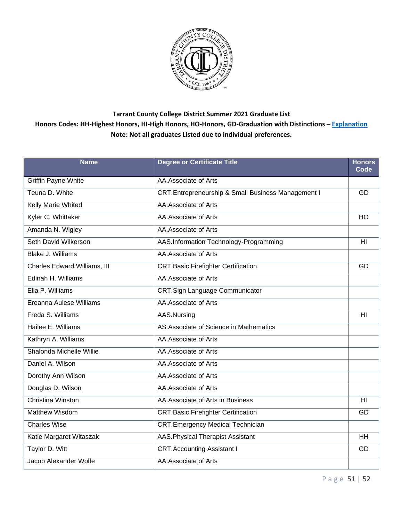

| <b>Name</b>                  | <b>Degree or Certificate Title</b>                 | <b>Honors</b><br>Code |
|------------------------------|----------------------------------------------------|-----------------------|
| <b>Griffin Payne White</b>   | AA.Associate of Arts                               |                       |
| Teuna D. White               | CRT.Entrepreneurship & Small Business Management I | GD                    |
| Kelly Marie Whited           | AA.Associate of Arts                               |                       |
| Kyler C. Whittaker           | AA.Associate of Arts                               | HO                    |
| Amanda N. Wigley             | AA.Associate of Arts                               |                       |
| Seth David Wilkerson         | AAS.Information Technology-Programming             | H <sub>II</sub>       |
| <b>Blake J. Williams</b>     | AA.Associate of Arts                               |                       |
| Charles Edward Williams, III | <b>CRT.Basic Firefighter Certification</b>         | GD                    |
| Edinah H. Williams           | AA.Associate of Arts                               |                       |
| Ella P. Williams             | <b>CRT.Sign Language Communicator</b>              |                       |
| Ereanna Aulese Williams      | AA.Associate of Arts                               |                       |
| Freda S. Williams            | AAS.Nursing                                        | H <sub>l</sub>        |
| Hailee E. Williams           | AS. Associate of Science in Mathematics            |                       |
| Kathryn A. Williams          | AA.Associate of Arts                               |                       |
| Shalonda Michelle Willie     | AA.Associate of Arts                               |                       |
| Daniel A. Wilson             | AA.Associate of Arts                               |                       |
| Dorothy Ann Wilson           | AA.Associate of Arts                               |                       |
| Douglas D. Wilson            | AA.Associate of Arts                               |                       |
| <b>Christina Winston</b>     | AA. Associate of Arts in Business                  | H <sub>II</sub>       |
| <b>Matthew Wisdom</b>        | <b>CRT.Basic Firefighter Certification</b>         | GD                    |
| <b>Charles Wise</b>          | <b>CRT.Emergency Medical Technician</b>            |                       |
| Katie Margaret Witaszak      | AAS. Physical Therapist Assistant                  | $\overline{HH}$       |
| Taylor D. Witt               | <b>CRT.Accounting Assistant I</b>                  | GD                    |
| Jacob Alexander Wolfe        | AA.Associate of Arts                               |                       |